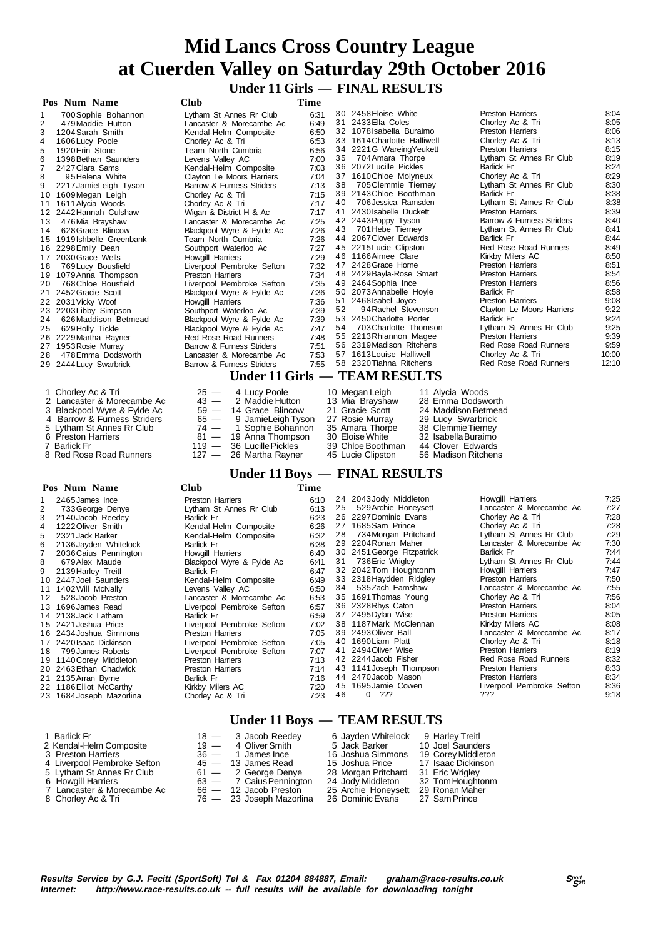# **Mid Lancs Cross Country League at Cuerden Valley on Saturday 29th October 2016 Under 11 Girls — FINAL RESULTS**

 **Pos Num Name Club Time** 1 700Sophie Bohannon Lytham St Annes Rr Club 6:31 2 479Maddie Hutton Lancaster & Morecambe Ac 6:49 3 1204Sarah Smith Kendal-Helm Composite 6:50 4 1606Lucy Poole Chorley Ac & Tri 6:53 5 1920Erin Stone Team North Cumbria 6:56 Form the Saunders Calley AC 1398 Bethan Saunders Levens Valley AC 7:00<br>T 2427 Clara Sams Kendal-Helm Composite 7:03 7 2427Clara Sams Kendal-Helm Composite 7:03 8 95 Helena White Clayton Le Moors Harriers 7:04<br>9 2217 Jamiel eigh Tyson Barrow & Furness Striders 7:13 9 217 JamieLeigh Tyson Barrow & Furness<br>1609 Megan Leigh Chorley Ac & Triders 1611 Alycia Woods Chorley Ac & Triders 10 1609Megan Leigh Chorley Ac & Tri 7:15<br>11 1611Alvcia Woods Chorley Ac & Tri 7:17 11 1611 Alycia Woods<br>
11 1611 Alycia Woods Chorley Ac & Tri 7:17<br>
12 2442 Hannah Culshaw Wigan & District H & Ac 7:17 12 2442Hannah Culshaw Wigan & District H & Ac 7:17 13 476Mia Brayshaw Lancaster & Morecambe Ac 7:25 14 628Grace Blincow Blackpool Wyre & Fylde Ac 7:26 15 1919 Ishbelle Greenbank 16 2298 Emily Dean Sout 17 2030Grace Wells Howgill Harriers 7:29 18 769Lucy Bousfield Liverpool Pembroke Sefton 7:32 19 1079Anna Thompson<br>
20 768Chloe Bousfield Liver 20 768Chloe Bousfield Liver<br>P452Gracie Scott Riac 21 2452 Gracie Scott 22 2031Vicky Woof Howgill Harriers 7:36 23 2203Libby Simpson Southport Waterloo Ac 7:39 24 626Maddison Betmead Blackpool Wyre & Fylde Ac 7:39 25 629Holly Tickle Black<br>26 2229Martha Ravner Bed 26 2229 Martha Rayner Red Red Red Rose Red Red Red Runners Red Red Runners Red Runners Red Runners Red Runner<br>27 1953 Rosie Murray Barre 1953 Rosie Murray 28 478Emma Dodsworth Land 29 2444 Lucy Swarbrick Barrow 30 2458 Eloise White **Preston Harriers** 8:04<br>31 2433 Ella Coles **Chore Chorley Ac & Tri** 8:05 31 2433Ella Coles Chorley Ac & Tri 8:05<br>32 1078Isabella Buraimo Preston Harriers 8:06 32 1078Isabella Buraimo Preston Harriers 8:06 1614Charlotte Halliwell Chorley Ac & Tri 8:13<br>2221G WareingYeukett Preston Harriers 8:15 31 2221G WareingYeukett Preston Harriers 8:15<br>35 704Amara Thorpe Lytham St Annes Rr Club 8:19 Lytham St Annes Rr Club 36 2072Lucille Pickles Barlick Fr 8:24<br>37 1610Chloe Molyneux Chorley Ac & Tri 8:29 37 1610 Chloe Molyneux Chorley Ac & Tri 8:29<br>38 705 Chorley Ac & Tri 8:29<br>38 705 Clemmie Tierney Lytham St Annes Rr Club Eytham St Annes Rr Club 8:30<br>Barlick Fr 8:38 39 2143Chloe Boothman Barlick Fr 6:38<br>10 706 Jessica Ramsden Lytham St Annes Rr Club 8:38 Lytham St Annes Rr Club 8:38<br>Preston Harriers 8:39 41 2430 Isabelle Duckett<br>42 2443 Poppy Tyson<br>43 701 Hebe Tiernev 42 2443Poppy Tyson Barrow & Furness Striders 8:40 43 701Hebe Tierney Lytham St Annes Rr Club 8:41 44 2067 Clover Edwards Barlick Fr 8:44<br>45 2215 Lucie Clipston Red Rose Road Runners 8:49 45 2215Lucie Clipston Red Rose Road Runners 8:49 46 1166Aimee Clare Kirkby Milers AC 8:50 47 2428Grace Horne Preston Harriers 8:51 48 2429Bayla-Rose Smart Preston Harriers 8:54 49 2464Sophia Ince Preston Harriers 8:56 50 2073Annabelle Hoyle Barlick Fr 8:58 51 2468Isabel Joyce Preston Harriers 9:08 522<br>3:22 oors Harriers<br>9:24 53 2450Charlotte Porter Barlick Fr 9:24 5:25 res Rr Club<br>Thomson St Annes 55 2213Rhiannon Magee Preston Harriers 9:39 56 2319Madison Ritchens Red Rose Road Runners 9:59 57 1613Louise Halliwell Chorley Ac & Tri 10:00 ad Runners 12:10  **Under 11 Girls — TEAM RESULTS** 1 Chorley Ac & Tri 25 — 4 Lucy Poole 10 Megan Leigh 11 Alycia Woods 2 Lancaster & Morecambe Ac 43 — 2 Maddie Hutton 13 Mia Brayshaw 28 Emma Dodsworth

- 
- 6 Preston Harriers 8<br>11 **Barlick Fr** 31
- 
- 8 Red Rose Road Runners

### **Pos Num Name Club Time**

| _ _ | ou Elliot ivideditii ,  |  |
|-----|-------------------------|--|
|     | 23 1684 Joseph Mazorlir |  |

- 
- 
- 
- 
- 
- 

| 16 2298 Emily Dean          | Southport Waterloo Ac         | 7:27 |    | 45 2215 Lucie Clipston   |                     | Red Rose Roa          |
|-----------------------------|-------------------------------|------|----|--------------------------|---------------------|-----------------------|
| 17 2030 Grace Wells         | <b>Howgill Harriers</b>       | 7:29 |    | 46 1166 Aimee Clare      |                     | Kirkby Milers         |
| 18 769 Lucy Bousfield       | Liverpool Pembroke Sefton     | 7:32 |    | 47 2428 Grace Horne      |                     | <b>Preston Harrie</b> |
| 19 1079 Anna Thompson       | <b>Preston Harriers</b>       | 7:34 |    | 48 2429 Bayla-Rose Smart |                     | Preston Harrie        |
| 20 768 Chloe Bousfield      | Liverpool Pembroke Sefton     | 7:35 |    | 49 2464 Sophia Ince      |                     | <b>Preston Harrie</b> |
| 21 2452 Gracie Scott        | Blackpool Wyre & Fylde Ac     | 7:36 |    | 50 2073 Annabelle Hoyle  |                     | <b>Barlick Fr</b>     |
| 22 2031 Vicky Woof          | Howgill Harriers              | 7:36 |    | 51 2468 sabel Joyce      |                     | <b>Preston Harrie</b> |
| 23 2203Libby Simpson        | Southport Waterloo Ac         | 7:39 | 52 | 94 Rachel Stevenson      |                     | Clayton Le Mo         |
| 24 626Maddison Betmead      | Blackpool Wyre & Fylde Ac     | 7:39 |    | 53 2450 Charlotte Porter |                     | Barlick Fr            |
| 25 629 Holly Tickle         | Blackpool Wyre & Fylde Ac     | 7:47 |    | 54 703 Charlotte Thomson |                     | Lytham St An          |
| 26 2229 Martha Rayner       | Red Rose Road Runners         | 7:48 |    | 55 2213 Rhiannon Magee   |                     | <b>Preston Harrie</b> |
| 27 1953 Rosie Murray        | Barrow & Furness Striders     | 7:51 |    | 56 2319 Madison Ritchens |                     | Red Rose Roa          |
| 28 478 Emma Dodsworth       | Lancaster & Morecambe Ac      | 7:53 |    | 57 1613 Louise Halliwell |                     | Chorley Ac &          |
| 29 2444 Lucy Swarbrick      | Barrow & Furness Striders     | 7:55 |    | 58 2320 Tiahna Ritchens  |                     | Red Rose Roa          |
|                             | Under 11 Girls — TEAM RESULTS |      |    |                          |                     |                       |
| 1 Chorley Ac & Tri          | $25 - 4$ Lucy Poole           |      |    | 10 Megan Leigh           | 11 Alycia Woods     |                       |
| 2 Lancaster & Morecambe Ac  | 2 Maddie Hutton<br>$43 -$     |      |    | 13 Mia Brayshaw          | 28 Emma Dodsworth   |                       |
| 3 Blackpool Wyre & Fylde Ac | $59 - 14$ Grace Blincow       |      |    | 21 Gracie Scott          | 24 Maddison Betmead |                       |
| 4 Barrow & Furness Striders | 9 JamieLeigh Tyson<br>$65 -$  |      |    | 27 Rosie Murray          | 29 Lucy Swarbrick   |                       |
| 5 Lytham St Annes Rr Club   | 74 - 1 Sophie Bohannon        |      |    | 35 Amara Thorpe          | 38 Clemmie Tierney  |                       |
| 6 Preston Harriers          | 81 - 19 Anna Thompson         |      |    | 30 Eloise White          | 32 Isabella Buraimo |                       |
| 7 Barlick Fr                | 36 Lucille Pickles<br>$119 -$ |      |    | 39 Chloe Boothman        | 44 Clover Edwards   |                       |
| 8 Red Rose Road Runners     | 127 - 26 Martha Rayner        |      |    | 45 Lucie Clipston        | 56 Madison Ritchens |                       |

### **Under 11 Boys — FINAL RESULTS**

|    | тоэ тани танис           | ◡ェu◡                      | .    |    |                            |                           |      |
|----|--------------------------|---------------------------|------|----|----------------------------|---------------------------|------|
|    | 2465 James Ince          | <b>Preston Harriers</b>   | 6:10 |    | 24 2043 Jody Middleton     | Howgill Harriers          | 7:25 |
|    | 733 George Denye         | Lytham St Annes Rr Club   | 6:13 | 25 | 529 Archie Honeysett       | Lancaster & Morecambe Ac  | 7:27 |
|    | 2140 Jacob Reedey        | Barlick Fr                | 6:23 |    | 26 2297 Dominic Evans      | Chorley Ac & Tri          | 7:28 |
|    | 1222 Oliver Smith        | Kendal-Helm Composite     | 6:26 |    | 27 1685 Sam Prince         | Chorley Ac & Tri          | 7:28 |
| 5  | 2321 Jack Barker         | Kendal-Helm Composite     | 6:32 | 28 | 734 Morgan Pritchard       | Lytham St Annes Rr Club   | 7:29 |
| 6. | 2136 Jayden Whitelock    | Barlick Fr                | 6:38 |    | 29 2204 Ronan Maher        | Lancaster & Morecambe Ac  | 7:30 |
|    | 2036 Caius Pennington    | Howgill Harriers          | 6:40 |    | 30 2451 George Fitzpatrick | <b>Barlick Fr</b>         | 7:44 |
| 8  | 679 Alex Maude           | Blackpool Wyre & Fylde Ac | 6:41 | 31 | 736 Eric Wrigley           | Lytham St Annes Rr Club   | 7:44 |
| 9  | 2139 Harley Treitl       | Barlick Fr                | 6:47 |    | 32 2042 Tom Houghtonm      | Howgill Harriers          | 7:47 |
|    | 10 2447 Joel Saunders    | Kendal-Helm Composite     | 6:49 |    | 33 2318 Haydden Ridgley    | <b>Preston Harriers</b>   | 7:50 |
|    | 11 1402 Will McNally     | Levens Valley AC          | 6:50 | 34 | 535Zach Earnshaw           | Lancaster & Morecambe Ac  | 7:55 |
| 12 | 528 Jacob Preston        | Lancaster & Morecambe Ac  | 6:53 |    | 35 1691 Thomas Young       | Chorley Ac & Tri          | 7:56 |
|    | 13 1696James Read        | Liverpool Pembroke Sefton | 6:57 |    | 36 2328 Rhys Caton         | <b>Preston Harriers</b>   | 8:04 |
|    | 14 2138 Jack Latham      | <b>Barlick Fr</b>         | 6:59 |    | 37 2495 Dylan Wise         | <b>Preston Harriers</b>   | 8:05 |
|    | 15 2421 Joshua Price     | Liverpool Pembroke Sefton | 7:02 |    | 38 1187 Mark McClennan     | Kirkby Milers AC          | 8:08 |
|    | 16 2434 Joshua Simmons   | <b>Preston Harriers</b>   | 7:05 |    | 39 2493 Oliver Ball        | Lancaster & Morecambe Ac  | 8:17 |
|    | 17 2420 Isaac Dickinson  | Liverpool Pembroke Sefton | 7:05 |    | 40 1690 Liam Platt         | Chorley Ac & Tri          | 8:18 |
|    | 18 799 James Roberts     | Liverpool Pembroke Sefton | 7:07 |    | 41 2494 Oliver Wise        | <b>Preston Harriers</b>   | 8:19 |
|    | 19 1140 Corey Middleton  | <b>Preston Harriers</b>   | 7:13 |    | 42 2244 Jacob Fisher       | Red Rose Road Runners     | 8:32 |
|    | 20 2463 Ethan Chadwick   | <b>Preston Harriers</b>   | 7:14 |    | 43 1141 Joseph Thompson    | <b>Preston Harriers</b>   | 8:33 |
|    | 21 2135 Arran Byrne      | Barlick Fr                | 7:16 |    | 44 2470 Jacob Mason        | <b>Preston Harriers</b>   | 8:34 |
|    | 22 1186 Elliot McCarthy  | Kirkby Milers AC          | 7:20 |    | 45 1695 Jamie Cowen        | Liverpool Pembroke Sefton | 8:36 |
|    | 23 1684 Joseph Mazorlina | Chorley Ac & Tri          | 7:23 | 46 | $\mathbf{0}$<br>???        | ???                       | 9:18 |
|    |                          |                           |      |    |                            |                           |      |

# **Under 11 Boys — TEAM RESULTS**

| 1 Barlick Fr                | $18 - 3$ Jacob Reedey    | 6 Jayden Whitelock  | 9 Harley Treitl    |
|-----------------------------|--------------------------|---------------------|--------------------|
| 2 Kendal-Helm Composite     | $19 - 4$ Oliver Smith    | 5 Jack Barker       | 10 Joel Saunders   |
| 3 Preston Harriers          | $36 - 1$ James Ince      | 16 Joshua Simmons   | 19 Corey Middleton |
| 4 Liverpool Pembroke Sefton | $45 - 13$ James Read     | 15 Joshua Price     | 17 Isaac Dickinson |
| 5 Lytham St Annes Rr Club   | $61 - 2$ George Denye    | 28 Morgan Pritchard | 31 Eric Wrigley    |
| 6 Howgill Harriers          | 63 - 7 Caius Pennington  | 24 Jody Middleton   | 32 Tom Houghtonm   |
| 7 Lancaster & Morecambe Ac  | $66 - 12$ Jacob Preston  | 25 Archie Honeysett | 29 Ronan Maher     |
| 8 Chorley Ac & Tri          | 76 — 23 Joseph Mazorlina | 26 Dominic Evans    | 27 Sam Prince      |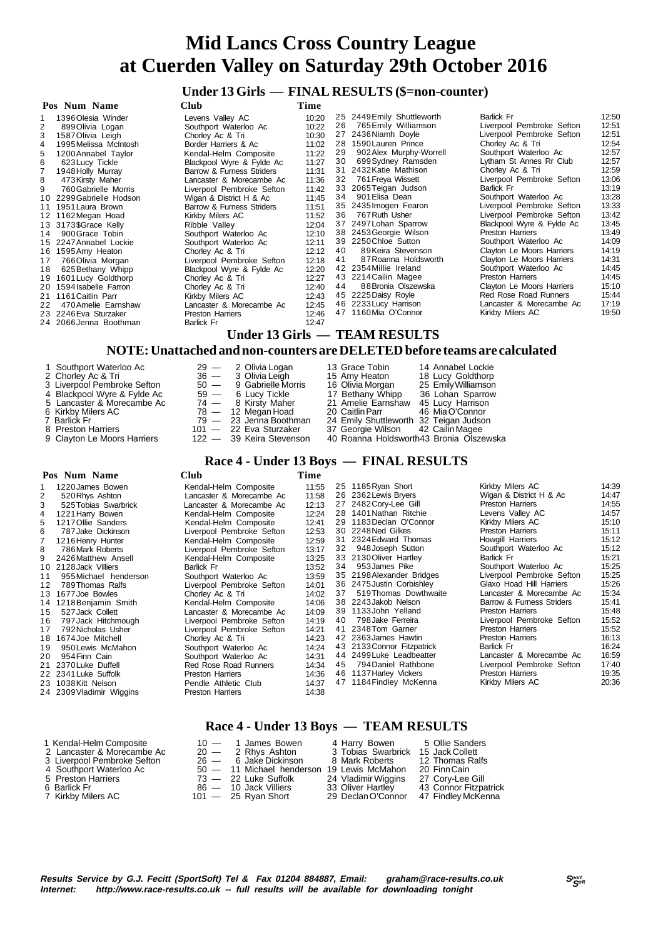# **Under 13 Girls — FINAL RESULTS (\$=non-counter)**

| Pos Num Name               | Club                                                                       | Time  |    |                               |                           |       |
|----------------------------|----------------------------------------------------------------------------|-------|----|-------------------------------|---------------------------|-------|
| 1396 Olesia Winder         | Levens Valley AC                                                           | 10:20 |    | 25 2449 Emily Shuttleworth    | Barlick Fr                | 12:50 |
| 2<br>899 Olivia Logan      | Southport Waterloo Ac                                                      | 10:22 | 26 | 765 Emily Williamson          | Liverpool Pembroke Sefton | 12:51 |
| 1587 Olivia Leigh<br>3     | Chorley Ac & Tri                                                           | 10:30 |    | 27 2436 Niamh Doyle           | Liverpool Pembroke Sefton | 12:51 |
| 1995 Melissa McIntosh<br>4 | Border Harriers & Ac                                                       | 11:02 |    | 28 1590 Lauren Prince         | Chorley Ac & Tri          | 12:54 |
| 5<br>1200 Annabel Taylor   | Kendal-Helm Composite                                                      | 11:22 | 29 | 902 Alex Murphy-Worrell       | Southport Waterloo Ac     | 12:57 |
| 623 Lucy Tickle<br>6       | Blackpool Wyre & Fylde Ac                                                  | 11:27 | 30 | 699Sydney Ramsden             | Lytham St Annes Rr Club   | 12:57 |
| 1948 Holly Murray          | Barrow & Furness Striders                                                  | 11:31 |    | 31 2432 Katie Mathison        | Chorley Ac & Tri          | 12:59 |
| 8<br>473 Kirsty Maher      | Lancaster & Morecambe Ac                                                   | 11:36 | 32 | 761 Freya Wissett             | Liverpool Pembroke Sefton | 13:06 |
| 760 Gabrielle Morris       | Liverpool Pembroke Sefton                                                  | 11:42 |    | 33 2065 Teigan Judson         | Barlick Fr                | 13:19 |
| 10 2299 Gabrielle Hodson   | Wigan & District H & Ac                                                    | 11:45 | 34 | 901 Elisa Dean                | Southport Waterloo Ac     | 13:28 |
| 11 1951 Laura Brown        | Barrow & Furness Striders                                                  | 11:51 |    | 35 2435 Imogen Fearon         | Liverpool Pembroke Sefton | 13:33 |
| 12 1162 Megan Hoad         | Kirkby Milers AC                                                           | 11:52 | 36 | 767 Ruth Usher                | Liverpool Pembroke Sefton | 13:42 |
| 13 3173\$Grace Kelly       | Ribble Valley                                                              | 12:04 |    | 37 2497 Lohan Sparrow         | Blackpool Wyre & Fylde Ac | 13:45 |
| 900 Grace Tobin<br>14      | Southport Waterloo Ac                                                      | 12:10 |    | 38 2453 Georgie Wilson        | Preston Harriers          | 13:49 |
| 15 2247 Annabel Lockie     | Southport Waterloo Ac                                                      | 12:11 |    | 39 2250 Chloe Sutton          | Southport Waterloo Ac     | 14:09 |
| 16 1595 Amy Heaton         | Chorley Ac & Tri                                                           | 12:12 | 40 | 89Keira Stevenson             | Clayton Le Moors Harriers | 14:19 |
| 766 Olivia Morgan<br>17    | Liverpool Pembroke Sefton                                                  | 12:18 | 41 | 87 Roanna Holdsworth          | Clayton Le Moors Harriers | 14:31 |
| 625 Bethany Whipp<br>18    | Blackpool Wyre & Fylde Ac                                                  | 12:20 |    | 42 2354 Millie Ireland        | Southport Waterloo Ac     | 14:45 |
| 1601 Lucy Goldthorp<br>19  | Chorley Ac & Tri                                                           | 12:27 |    | 43 2214 Cailin Magee          | <b>Preston Harriers</b>   | 14:45 |
| 20 1594 Isabelle Farron    | Chorley Ac & Tri                                                           | 12:40 | 44 | 88 Bronia Olszewska           | Clayton Le Moors Harriers | 15:10 |
| 1161 Caitlin Parr<br>21    | Kirkby Milers AC                                                           | 12:43 |    | 45 2225 Daisy Royle           | Red Rose Road Runners     | 15:44 |
| 470 Amelie Earnshaw<br>22  | Lancaster & Morecambe Ac                                                   | 12:45 |    | 46 2233 Lucy Harrison         | Lancaster & Morecambe Ac  | 17:19 |
| 23 2246 Eva Sturzaker      | <b>Preston Harriers</b>                                                    | 12:46 |    | 47 1160Mia O'Connor           | Kirkby Milers AC          | 19:50 |
| 24 2066 Jenna Boothman     | Barlick Fr                                                                 | 12:47 |    |                               |                           |       |
|                            |                                                                            |       |    | Under 13 Girls — TEAM RESULTS |                           |       |
|                            | NOTE: Unattached and non-counters are DEI FTED before toams are calculated |       |    |                               |                           |       |

#### **NOTE: Unattached and non-counters are DELETED before teams are calculated**

9 Clayton Le Moors Harriers 122 — 39 Keira Stevenson 40 Roanna Holdsworth43 Bronia Olszewska

- 1 Southport Waterloo Ac 29 2 Olivia Logan 13 Grace Tobin 14 Annabel Lockie 2 Chorley Ac & Tri 36 3 Olivia Leigh 15 Amy Heaton 18 Lucy Goldthorp 3 Liverpool Pembroke Sefton 50 — 9 Gabrielle Morris 16 Olivia Morgan 25 Emily Williamson 4 Blackpool Wyre & Fylde Ac 59 — 6 Lucy Tickle 17 Bethany Whipp 36 Lohan Sparrow 5 Lancaster & Morecambe Ac 74 — 8 Kirsty Maher 21 Amelie Earnshaw 45 Lucy Harrison 6 Kirkby Milers AC 78 — 12 Megan Hoad 20 Caitlin Parr 46 Mia O'Connor 7 Barlick Fr 79 — 23 Jenna Boothman 24 Emily Shuttleworth 32 Teigan Judson 8 Preston Harriers 101 — 22 Eva Sturzaker 37 Georgie Wilson 42 Cailin Magee<br>
8 Preston Harriers 101 — 22 Eva Sturzaker 37 Georgie Wilson 42 Cailin Magee<br>
9 Clayton Le Moors Harriers 122 — 39 Keira Stevenson 40 Roanna Holds
- 
- 
- Race 4 Under 13 Boys FINAL RESULTS

|    | Pos Num Name             | Club                      | Time  |    |                            |                           |       |
|----|--------------------------|---------------------------|-------|----|----------------------------|---------------------------|-------|
|    | 1220 James Bowen         | Kendal-Helm Composite     | 11:55 |    | 25 1185 Ryan Short         | Kirkby Milers AC          | 14:39 |
|    | 520 Rhys Ashton          | Lancaster & Morecambe Ac  | 11:58 |    | 26 2362 Lewis Bryers       | Wigan & District H & Ac   | 14:47 |
|    | 525 Tobias Swarbrick     | Lancaster & Morecambe Ac  | 12:13 |    | 27 2482 Cory-Lee Gill      | <b>Preston Harriers</b>   | 14:55 |
| 4  | 1221 Harry Bowen         | Kendal-Helm Composite     | 12:24 |    | 28 1401 Nathan Ritchie     | Levens Valley AC          | 14:57 |
| 5. | 1217 Ollie Sanders       | Kendal-Helm Composite     | 12:41 |    | 29 1183 Declan O'Connor    | Kirkby Milers AC          | 15:10 |
| 6  | 787 Jake Dickinson       | Liverpool Pembroke Sefton | 12:53 |    | 30 2248 Ned Gilkes         | <b>Preston Harriers</b>   | 15:11 |
|    | 1216 Henry Hunter        | Kendal-Helm Composite     | 12:59 |    | 31 2324 Edward Thomas      | Howgill Harriers          | 15:12 |
| 8  | 786 Mark Roberts         | Liverpool Pembroke Sefton | 13:17 |    | 32 948 Joseph Sutton       | Southport Waterloo Ac     | 15:12 |
| 9  | 2426 Matthew Ansell      | Kendal-Helm Composite     | 13:25 |    | 33 2130 Oliver Hartley     | Barlick Fr                | 15:21 |
|    | 10 2128 Jack Villiers    | Barlick Fr                | 13:52 |    | 34 953 James Pike          | Southport Waterloo Ac     | 15:25 |
| 11 | 955 Michael henderson    | Southport Waterloo Ac     | 13:59 |    | 35 2198 Alexander Bridges  | Liverpool Pembroke Sefton | 15:25 |
| 12 | 789 Thomas Ralfs         | Liverpool Pembroke Sefton | 14:01 |    | 36 2475 Justin Corbishley  | Glaxo Hoad Hill Harriers  | 15:26 |
|    | 13 1677 Joe Bowles       | Chorley Ac & Tri          | 14:02 | 37 | 519 Thomas Dowthwaite      | Lancaster & Morecambe Ac  | 15:34 |
|    | 14 1218 Benjamin Smith   | Kendal-Helm Composite     | 14:06 |    | 38 2243 Jakob Nelson       | Barrow & Furness Striders | 15:41 |
| 15 | 527 Jack Collett         | Lancaster & Morecambe Ac  | 14:09 |    | 39 1133John Yelland        | <b>Preston Harriers</b>   | 15:48 |
| 16 | 797 Jack Hitchmough      | Liverpool Pembroke Sefton | 14:19 | 40 | 798 Jake Ferreira          | Liverpool Pembroke Sefton | 15:52 |
| 17 | 792 Nicholas Usher       | Liverpool Pembroke Sefton | 14:21 |    | 41 2348 Tom Garner         | <b>Preston Harriers</b>   | 15:52 |
|    | 18 1674 Joe Mitchell     | Chorley Ac & Tri          | 14:23 |    | 42 2363 James Hawtin       | <b>Preston Harriers</b>   | 16:13 |
| 19 | 950 Lewis McMahon        | Southport Waterloo Ac     | 14:24 |    | 43 2133 Connor Fitzpatrick | <b>Barlick Fr</b>         | 16:24 |
| 20 | 954 Finn Cain            | Southport Waterloo Ac     | 14:31 |    | 44 2499 Luke Leadbeatter   | Lancaster & Morecambe Ac  | 16:59 |
| 21 | 2370 Luke Duffell        | Red Rose Road Runners     | 14:34 | 45 | 794 Daniel Rathbone        | Liverpool Pembroke Sefton | 17:40 |
|    | 22 2341 Luke Suffolk     | <b>Preston Harriers</b>   | 14:36 |    | 46 1137 Harley Vickers     | <b>Preston Harriers</b>   | 19:35 |
|    | 23 1038Kitt Nelson       | Pendle Athletic Club      | 14:37 |    | 47 1184 Findley McKenna    | Kirkby Milers AC          | 20:36 |
|    | 24 2309 Vladimir Wiggins | <b>Preston Harriers</b>   | 14:38 |    |                            |                           |       |
|    |                          |                           |       |    |                            |                           |       |

### **Race 4 - Under 13 Boys — TEAM RESULTS**

| 1 Kendal-Helm Composite     | $10 - 1$ James Bowen                       | 4 Harry Bowen       | 5 Ollie Sanders       |
|-----------------------------|--------------------------------------------|---------------------|-----------------------|
| 2 Lancaster & Morecambe Ac  | $20 - 2$ Rhys Ashton                       | 3 Tobias Swarbrick  | 15 Jack Collett       |
| 3 Liverpool Pembroke Sefton | 26 — 6 Jake Dickinson                      | 8 Mark Roberts      | 12 Thomas Ralfs       |
| 4 Southport Waterloo Ac     | 50 - 11 Michael henderson 19 Lewis McMahon |                     | 20 Finn Cain          |
| 5 Preston Harriers          | $73 - 22$ Luke Suffolk                     | 24 Vladimir Wiggins | 27 Cory-Lee Gill      |
| 6 Barlick Fr                | 86 - 10 Jack Villiers                      | 33 Oliver Hartley   | 43 Connor Fitzpatrick |
| 7 Kirkby Milers AC          | $101 - 25$ Ryan Short                      | 29 Declan O'Connor  | 47 Findley McKenna    |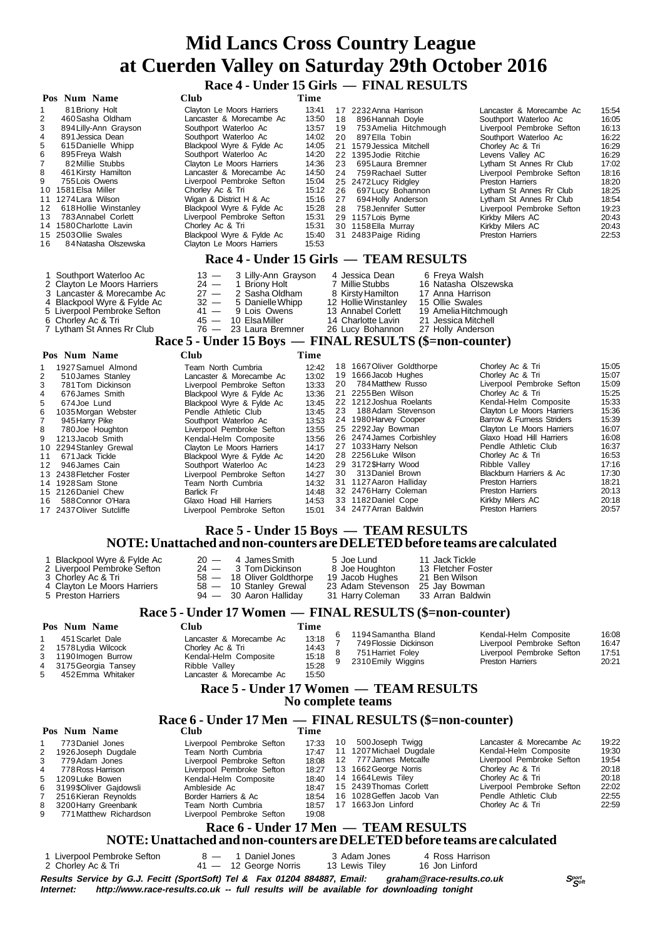**Race 4 - Under 15 Girls — FINAL RESULTS**

|                                                                    | Pos Num Name                                                                                                                                                                                                                                                                                                                         | Club                                                                                                                                                                                                                                                                                                                                                                                                          | Time                                                                                                                                |                            |                                                                                                                                                                                                                                                                                                                                                              |                                                                                                                                                  |                                                                                                                                                                                                                                                                                                                                                                                          |                                                                                                                                     |  |
|--------------------------------------------------------------------|--------------------------------------------------------------------------------------------------------------------------------------------------------------------------------------------------------------------------------------------------------------------------------------------------------------------------------------|---------------------------------------------------------------------------------------------------------------------------------------------------------------------------------------------------------------------------------------------------------------------------------------------------------------------------------------------------------------------------------------------------------------|-------------------------------------------------------------------------------------------------------------------------------------|----------------------------|--------------------------------------------------------------------------------------------------------------------------------------------------------------------------------------------------------------------------------------------------------------------------------------------------------------------------------------------------------------|--------------------------------------------------------------------------------------------------------------------------------------------------|------------------------------------------------------------------------------------------------------------------------------------------------------------------------------------------------------------------------------------------------------------------------------------------------------------------------------------------------------------------------------------------|-------------------------------------------------------------------------------------------------------------------------------------|--|
| 1<br>2<br>3<br>4<br>5<br>6<br>$\overline{7}$<br>8<br>9<br>12<br>13 | 81 Briony Holt<br>460 Sasha Oldham<br>894 Lilly-Ann Grayson<br>891 Jessica Dean<br>615Danielle Whipp<br>895 Freya Walsh<br>82Millie Stubbs<br>461 Kirsty Hamilton<br>755 Lois Owens<br>10 1581 Elsa Miller<br>11 1274 Lara Wilson<br>618 Hollie Winstanley<br>783 Annabel Corlett<br>14 1580 Charlotte Lavin<br>15 2503 Ollie Swales | Clayton Le Moors Harriers<br>Lancaster & Morecambe Ac<br>Southport Waterloo Ac<br>Southport Waterloo Ac<br>Blackpool Wyre & Fylde Ac<br>Southport Waterloo Ac<br>Clayton Le Moors Harriers<br>Lancaster & Morecambe Ac<br>Liverpool Pembroke Sefton<br>Chorley Ac & Tri<br>Wigan & District H & Ac<br>Blackpool Wyre & Fylde Ac<br>Liverpool Pembroke Sefton<br>Chorley Ac & Tri<br>Blackpool Wyre & Fylde Ac | 13:41<br>13:50<br>13:57<br>14:02<br>14:05<br>14:20<br>14:36<br>14:50<br>15:04<br>15:12<br>15:16<br>15:28<br>15:31<br>15:31<br>15:40 | 18<br>19<br>23<br>24<br>28 | 17 2232 Anna Harrison<br>896 Hannah Doyle<br>753 Amelia Hitchmough<br>20 897 Ella Tobin<br>21 1579 Jessica Mitchell<br>22 1395 Jodie Ritchie<br>695 Laura Bremner<br>759 Rachael Sutter<br>25 2472 Lucy Ridgley<br>26 697 Lucy Bohannon<br>27 694 Holly Anderson<br>758 Jennifer Sutter<br>29 1157 Lois Byrne<br>30 1158 Ella Murray<br>31 2483 Paige Riding |                                                                                                                                                  | Lancaster & Morecambe Ac<br>Southport Waterloo Ac<br>Liverpool Pembroke Sefton<br>Southport Waterloo Ac<br>Chorley Ac & Tri<br>Levens Valley AC<br>Lytham St Annes Rr Club<br>Liverpool Pembroke Sefton<br><b>Preston Harriers</b><br>Lytham St Annes Rr Club<br>Lytham St Annes Rr Club<br>Liverpool Pembroke Sefton<br>Kirkby Milers AC<br>Kirkby Milers AC<br><b>Preston Harriers</b> | 15:54<br>16:05<br>16:13<br>16:22<br>16:29<br>16:29<br>17:02<br>18:16<br>18:20<br>18:25<br>18:54<br>19:23<br>20:43<br>20:43<br>22:53 |  |
| 16                                                                 | 15:53<br>84 Natasha Olszewska<br>Clayton Le Moors Harriers<br>Race 4 - Under 15 Girls — TEAM RESULTS                                                                                                                                                                                                                                 |                                                                                                                                                                                                                                                                                                                                                                                                               |                                                                                                                                     |                            |                                                                                                                                                                                                                                                                                                                                                              |                                                                                                                                                  |                                                                                                                                                                                                                                                                                                                                                                                          |                                                                                                                                     |  |
|                                                                    |                                                                                                                                                                                                                                                                                                                                      |                                                                                                                                                                                                                                                                                                                                                                                                               |                                                                                                                                     |                            |                                                                                                                                                                                                                                                                                                                                                              |                                                                                                                                                  |                                                                                                                                                                                                                                                                                                                                                                                          |                                                                                                                                     |  |
|                                                                    | 1 Southport Waterloo Ac<br>2 Clayton Le Moors Harriers<br>3 Lancaster & Morecambe Ac<br>4 Blackpool Wyre & Fylde Ac<br>5 Liverpool Pembroke Sefton<br>6 Chorley Ac & Tri<br>7 Lytham St Annes Rr Club                                                                                                                                | $13 -$<br>3 Lilly-Ann Grayson<br>$24 -$<br>1 Briony Holt<br>$27 -$<br>2 Sasha Oldham<br>$32 -$<br>5 Danielle Whipp<br>$41 -$<br>9 Lois Owens<br>10 Elsa Miller<br>$45 -$<br>$76 -$<br>23 Laura Bremner                                                                                                                                                                                                        |                                                                                                                                     |                            | 4 Jessica Dean<br>7 Millie Stubbs<br>8 Kirsty Hamilton<br>12 Hollie Winstanley<br>13 Annabel Corlett<br>14 Charlotte Lavin<br>26 Lucy Bohannon                                                                                                                                                                                                               | 6 Freya Walsh<br>16 Natasha Olszewska<br>17 Anna Harrison<br>15 Ollie Swales<br>19 Amelia Hitchmough<br>21 Jessica Mitchell<br>27 Holly Anderson |                                                                                                                                                                                                                                                                                                                                                                                          |                                                                                                                                     |  |
|                                                                    |                                                                                                                                                                                                                                                                                                                                      | Race 5 - Under 15 Boys — FINAL RESULTS (\$=non-counter)                                                                                                                                                                                                                                                                                                                                                       |                                                                                                                                     |                            |                                                                                                                                                                                                                                                                                                                                                              |                                                                                                                                                  |                                                                                                                                                                                                                                                                                                                                                                                          |                                                                                                                                     |  |
|                                                                    | Pos Num Name                                                                                                                                                                                                                                                                                                                         | <b>Club</b>                                                                                                                                                                                                                                                                                                                                                                                                   | Time                                                                                                                                |                            |                                                                                                                                                                                                                                                                                                                                                              |                                                                                                                                                  |                                                                                                                                                                                                                                                                                                                                                                                          |                                                                                                                                     |  |
| 1<br>2                                                             | 1927 Samuel Almond<br>510 James Stanley<br>781Tom Dickinson<br>$0.701$ $0.11$                                                                                                                                                                                                                                                        | Team North Cumbria<br>Lancaster & Morecambe Ac<br>Liverpool Pembroke Sefton<br>$D1 - 1$ and $D2 - 1$ $D4 - 1$ $D5 - 1$ $D6 - 1$                                                                                                                                                                                                                                                                               | 12:42<br>13:02<br>13:33<br>10.00                                                                                                    |                            | 18 1667 Oliver Goldthorpe<br>19 1666 Jacob Hughes<br>20 784 Matthew Russo<br>24 2255 Don Wilcon                                                                                                                                                                                                                                                              |                                                                                                                                                  | Chorley Ac & Tri<br>Chorley Ac & Tri<br>Liverpool Pembroke Sefton<br>$Chorlov A \circ P$ Tri                                                                                                                                                                                                                                                                                             | 15:05<br>15:07<br>15:09<br>15.25                                                                                                    |  |

|    | <b>DIUJAMES Stanley</b>  | Lancaster & Morecampe Ac  | 13.UZ. |    | <b>IV IDOUJACUL INGIICS</b> | VINICY AC OF III          | 10.01 |
|----|--------------------------|---------------------------|--------|----|-----------------------------|---------------------------|-------|
| 3  | 781 Tom Dickinson        | Liverpool Pembroke Sefton | 13:33  | 20 | 784 Matthew Russo           | Liverpool Pembroke Sefton | 15:09 |
| 4  | 676 James Smith          | Blackpool Wyre & Fylde Ac | 13:36  |    | 21 2255 Ben Wilson          | Chorley Ac & Tri          | 15:25 |
| 5  | 674Joe Lund              | Blackpool Wyre & Fylde Ac | 13:45  |    | 22 1212 Joshua Roelants     | Kendal-Helm Composite     | 15:33 |
| 6  | 1035 Morgan Webster      | Pendle Athletic Club      | 13:45  |    | 23 188 Adam Stevenson       | Clayton Le Moors Harriers | 15:36 |
|    | 945 Harry Pike           | Southport Waterloo Ac     | 13:53  |    | 24 1980 Harvey Cooper       | Barrow & Furness Striders | 15:39 |
| 8  | 780 Joe Houghton         | Liverpool Pembroke Sefton | 13:55  |    | 25 2292 Jay Bowman          | Clayton Le Moors Harriers | 16:07 |
|    | 9 1213 Jacob Smith       | Kendal-Helm Composite     | 13:56  |    | 26 2474 James Corbishley    | Glaxo Hoad Hill Harriers  | 16:08 |
|    | 10 2294 Stanley Grewal   | Clayton Le Moors Harriers | 14:17  |    | 27 1033 Harry Nelson        | Pendle Athletic Club      | 16:37 |
| 11 | 671 Jack Tickle          | Blackpool Wyre & Fylde Ac | 14:20  |    | 28 2256 Luke Wilson         | Chorley Ac & Tri          | 16:53 |
|    | 12 946 James Cain        | Southport Waterloo Ac     | 14:23  |    | 29 3172\$Harry Wood         | Ribble Valley             | 17:16 |
|    | 13 2438 Fletcher Foster  | Liverpool Pembroke Sefton | 14:27  |    | 30 313 Daniel Brown         | Blackburn Harriers & Ac   | 17:30 |
|    | 14 1928 Sam Stone        | Team North Cumbria        | 14:32  |    | 31 1127 Aaron Hallidav      | <b>Preston Harriers</b>   | 18:21 |
|    | 15 2126 Daniel Chew      | Barlick Fr                | 14:48  |    | 32 2476 Harry Coleman       | <b>Preston Harriers</b>   | 20:13 |
|    | 16 588 Connor O'Hara     | Glaxo Hoad Hill Harriers  | 14:53  |    | 33 1182 Daniel Cope         | Kirkby Milers AC          | 20:18 |
|    | 17 2437 Oliver Sutcliffe | Liverpool Pembroke Sefton | 15:01  |    | 34 2477 Arran Baldwin       | <b>Preston Harriers</b>   | 20:57 |
|    |                          |                           |        |    |                             |                           |       |

### **Race 5 - Under 15 Boys — TEAM RESULTS NOTE: Unattached and non-counters are DELETED before teams are calculated**

|             | 1 Blackpool Wyre & Fylde Ac<br>2 Liverpool Pembroke Sefton<br>3 Chorley Ac & Tri<br>4 Clayton Le Moors Harriers<br>5 Preston Harriers | $20 -$<br>$24 -$<br>$58 -$<br>58 - 10 Stanley Grewal<br>94 - 30 Aaron Halliday | 4 James Smith<br>3 Tom Dickinson<br>18 Oliver Goldthorpe |   | 5 Joe Lund<br>8 Joe Houghton<br>19 Jacob Hughes<br>23 Adam Stevenson<br>31 Harry Coleman | 11 Jack Tickle<br>13 Fletcher Foster<br>21 Ben Wilson<br>25 Jay Bowman<br>33 Arran Baldwin |                           |       |  |  |
|-------------|---------------------------------------------------------------------------------------------------------------------------------------|--------------------------------------------------------------------------------|----------------------------------------------------------|---|------------------------------------------------------------------------------------------|--------------------------------------------------------------------------------------------|---------------------------|-------|--|--|
|             | Race 5 - Under 17 Women — FINAL RESULTS (\$=non-counter)                                                                              |                                                                                |                                                          |   |                                                                                          |                                                                                            |                           |       |  |  |
|             | Pos Num Name                                                                                                                          | <b>Club</b>                                                                    | Time                                                     |   |                                                                                          |                                                                                            |                           |       |  |  |
|             | 451 Scarlet Dale                                                                                                                      | Lancaster & Morecambe Ac                                                       | 13:18                                                    | 6 | 1194 Samantha Bland                                                                      |                                                                                            | Kendal-Helm Composite     | 16:08 |  |  |
|             | 2 1578 Lydia Wilcock                                                                                                                  | Chorley Ac & Tri                                                               | 14:43                                                    |   | 749 Flossie Dickinson                                                                    |                                                                                            | Liverpool Pembroke Sefton | 16:47 |  |  |
|             | 3 1190 Imogen Burrow                                                                                                                  | Kendal-Helm Composite                                                          | 15:18                                                    | 8 | 751 Harriet Foley                                                                        |                                                                                            | Liverpool Pembroke Sefton | 17:51 |  |  |
|             | 4 3175 Georgia Tansey                                                                                                                 | Ribble Valley                                                                  | 15:28                                                    |   | 2310 Emily Wiggins                                                                       |                                                                                            | <b>Preston Harriers</b>   | 20:21 |  |  |
| $5^{\circ}$ | 452 Emma Whitaker                                                                                                                     | Lancaster & Morecambe Ac                                                       | 15:50                                                    |   |                                                                                          |                                                                                            |                           |       |  |  |

## 5 452Emma Whitaker Lancaster & Morecambe Ac 15:50  **Race 5 - Under 17 Women — TEAM RESULTS No complete teams**

# **Race 6 - Under 17 Men — FINAL RESULTS (\$=non-counter)**

|                | Pos Num Name             | Club                      | Time  |    |                          |                           |       |
|----------------|--------------------------|---------------------------|-------|----|--------------------------|---------------------------|-------|
|                | 773 Daniel Jones         | Liverpool Pembroke Sefton | 17:33 | 10 | 500 Joseph Twigg         | Lancaster & Morecambe Ac  | 19:22 |
|                | 2 1926 Joseph Dugdale    | Team North Cumbria        | 17:47 |    | 11 1207 Michael Dugdale  | Kendal-Helm Composite     | 19:30 |
| 3              | 779Adam Jones            | Liverpool Pembroke Sefton | 18:08 |    | 12 777 James Metcalfe    | Liverpool Pembroke Sefton | 19:54 |
| $\overline{4}$ | 778 Ross Harrison        | Liverpool Pembroke Sefton | 18:27 |    | 13 1662 George Norris    | Chorley Ac & Tri          | 20:18 |
|                | 5 1209 Luke Bowen        | Kendal-Helm Composite     | 18:40 |    | 14 1664 Lewis Tiley      | Chorley Ac & Tri          | 20:18 |
|                | 6 3199\$Oliver Gaidowsli | Ambleside Ac              | 18.47 |    | 15 2439 Thomas Corlett   | Liverpool Pembroke Sefton | 22:02 |
|                | 7 2516 Kieran Reynolds   | Border Harriers & Ac      | 18:54 |    | 16 1028 Geffen Jacob Van | Pendle Athletic Club      | 22:55 |
|                | 8 3200 Harry Greenbank   | Team North Cumbria        | 18:57 |    | 17 1663Jon Linford       | Chorley Ac & Tri          | 22:59 |
|                | 9 771 Matthew Richardson | Liverpool Pembroke Sefton | 19:08 |    |                          |                           |       |
|                |                          |                           |       |    |                          |                           |       |

### **Race 6 - Under 17 Men — TEAM RESULTS NOTE: Unattached and non-counters are DELETED before teams are calculated**

1 Liverpool Pembroke Sefton  $8 - 1$  Daniel Jones 3 Adam Jones 4 Ross Harrison<br>2 Chorley Ac & Tri **41** 41 - 12 George Norris 13 Lewis Tiley 16 Jon Linford  $28 - 1$  Daniel Jones<br> $41 - 12$  George Norris

|           | $=$ $\frac{1}{2}$ , $\frac{1}{2}$                                                       |  |                                                                                                     |               |
|-----------|-----------------------------------------------------------------------------------------|--|-----------------------------------------------------------------------------------------------------|---------------|
|           |                                                                                         |  | Results Service by G.J. Fecitt (SportSoft) Tel & Fax 01204 884887, Email: graham@race-results.co.uk | Sport<br>Soft |
| Internet: | http://www.race-results.co.uk -- full results will be available for downloading tonight |  |                                                                                                     |               |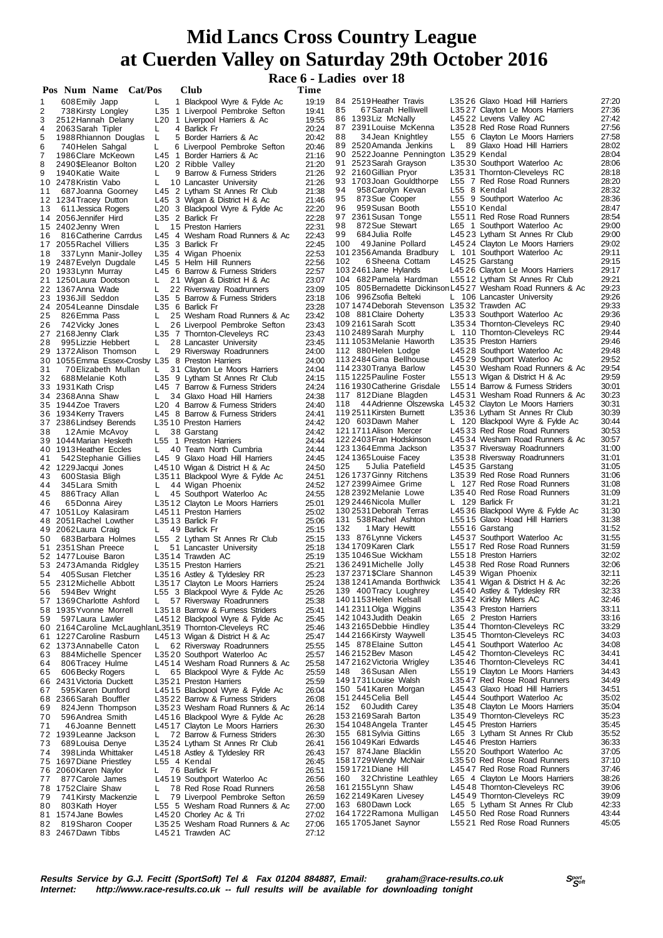# **Race 6 - Ladies over 18**

|          | Pos Num Name Cat/Pos                                    |         | <b>Club</b>                                                       | Time           |                                                                                       |    |                                                                   |                |
|----------|---------------------------------------------------------|---------|-------------------------------------------------------------------|----------------|---------------------------------------------------------------------------------------|----|-------------------------------------------------------------------|----------------|
| 1        | 608 Emily Japp                                          | L.      | 1 Blackpool Wyre & Fylde Ac                                       | 19:19          | 84 2519 Heather Travis                                                                |    | L3526 Glaxo Hoad Hill Harriers                                    | 27:20          |
| 2        | 738 Kirsty Longley                                      |         | L35 1 Liverpool Pembroke Sefton                                   | 19:41          | 85<br>67 Sarah Helliwell                                                              |    | L3527 Clayton Le Moors Harriers                                   | 27:36          |
| 3        | 2512 Hannah Delany                                      |         | L <sub>20</sub> 1 Liverpool Harriers & Ac<br>4 Barlick Fr         | 19:55<br>20:24 | 86 1393 Liz McNally<br>87 2391 Louise McKenna                                         |    | L4522 Levens Valley AC<br>L3528 Red Rose Road Runners             | 27:42<br>27:56 |
| 4<br>5   | 2063 Sarah Tipler<br>1988 Rhiannon Douglas              | L<br>L  | 5 Border Harriers & Ac                                            | 20:42          | 34 Jean Knightley<br>88                                                               |    | L55 6 Clayton Le Moors Harriers                                   | 27:58          |
| 6        | 740 Helen Sahgal                                        | L       | 6 Liverpool Pembroke Sefton                                       | 20:46          | 89 2520 Amanda Jenkins                                                                | L. | 89 Glaxo Hoad Hill Harriers                                       | 28:02          |
| 7        | 1986 Clare McKeown                                      |         | L45 1 Border Harriers & Ac                                        | 21:16          | 90 2522 Joanne Pennington L3529 Kendal                                                |    |                                                                   | 28:04          |
| 8        | 2490\$Eleanor Bolton                                    |         | L20 2 Ribble Valley                                               | 21:20          | 91 2523 Sarah Grayson                                                                 |    | L3530 Southport Waterloo Ac                                       | 28:06          |
| 9        | 1940 Katie Waite<br>10 2478 Kristin Vabo                | L       | 9 Barrow & Furness Striders                                       | 21:26<br>21:26 | 92 2160 Gillian Pryor<br>93 1703 Joan Gouldthorpe                                     |    | L3531 Thornton-Cleveleys RC<br>L55 7 Red Rose Road Runners        | 28:18<br>28:20 |
| 11       | 687 Joanna Goorney                                      | L       | 10 Lancaster University<br>L45 2 Lytham St Annes Rr Club          | 21:38          | 94<br>958 Carolyn Kevan                                                               |    | L55 8 Kendal                                                      | 28:32          |
|          | 12 1234 Tracey Dutton                                   |         | L45 3 Wigan & District H & Ac                                     | 21:46          | 873 Sue Cooper<br>95                                                                  |    | L55 9 Southport Waterloo Ac                                       | 28:36          |
| 13       | 611 Jessica Rogers                                      |         | L20 3 Blackpool Wyre & Fylde Ac                                   | 22:20          | 96<br>959 Susan Booth                                                                 |    | L5510 Kendal                                                      | 28:47          |
|          | 14 2056 Jennifer Hird                                   |         | L35 2 Barlick Fr                                                  | 22:28          | 97 2361 Susan Tonge                                                                   |    | L5511 Red Rose Road Runners<br>L65 1 Southport Waterloo Ac        | 28:54<br>29:00 |
| 16       | 15 2402 Jenny Wren<br>816 Catherine Carrdus             | L.      | 15 Preston Harriers<br>L45 4 Wesham Road Runners & Ac             | 22:31<br>22:43 | 872 Sue Stewart<br>98<br>99<br>684 Julia Rolfe                                        |    | L4523 Lytham St Annes Rr Club                                     | 29:00          |
|          | 17 2055 Rachel Villiers                                 |         | L35 3 Barlick Fr                                                  | 22:45          | 49Janine Pollard<br>100                                                               |    | L4524 Clayton Le Moors Harriers                                   | 29:02          |
| 18       | 337 Lynn Manir-Jolley                                   |         | L35 4 Wigan Phoenix                                               | 22:53          | 101 2356 Amanda Bradbury                                                              |    | L 101 Southport Waterloo Ac                                       | 29:11          |
|          | 19 2487 Evelyn Dugdale                                  |         | L45 5 Helm Hill Runners                                           | 22:56          | 102<br>6 Sheena Cottam                                                                |    | L4525 Garstang                                                    | 29:15          |
|          | 20 1933 Lynn Murray                                     |         | L45 6 Barrow & Furness Striders                                   | 22:57          | 103 2461 Jane Hylands                                                                 |    | L4526 Clayton Le Moors Harriers                                   | 29:17<br>29:21 |
|          | 21 1250 Laura Dootson<br>22 1367 Anna Wade              | L.<br>L | 21 Wigan & District H & Ac                                        | 23:07<br>23:09 | 104 682 Pamela Hardman<br>105 805 Bernadette Dickinson L4527 Wesham Road Runners & Ac |    | L5512 Lytham St Annes Rr Club                                     | 29:23          |
|          | 23 1936 Jill Seddon                                     |         | 22 Riversway Roadrunners<br>L35 5 Barrow & Furness Striders       | 23:18          | 106 996Zsofia Belteki                                                                 |    | L 106 Lancaster University                                        | 29:26          |
|          | 24 2054 Leanne Dinsdale                                 |         | L35 6 Barlick Fr                                                  | 23:28          | 1071474Deborah Stevenson L3532 Trawden AC                                             |    |                                                                   | 29:33          |
| 25       | 826 Emma Pass                                           | L.      | 25 Wesham Road Runners & Ac                                       | 23:42          | 108 881 Claire Doherty                                                                |    | L3533 Southport Waterloo Ac                                       | 29:36          |
| 26       | 742 Vicky Jones                                         | L.      | 26 Liverpool Pembroke Sefton                                      | 23:43          | 109 2161 Sarah Scott                                                                  |    | L3534 Thornton-Cleveleys RC                                       | 29:40          |
| 28       | 27 2168 Jenny Clark<br>995 Lizzie Hebbert               |         | L35 7 Thornton-Cleveleys RC                                       | 23:43<br>23:45 | 110 2489 Sarah Murphy<br>1111053 Melanie Haworth                                      |    | L 110 Thornton-Cleveleys RC<br>L3535 Preston Harriers             | 29:44<br>29:46 |
|          | 29 1372 Alison Thomson                                  | L<br>L. | 28 Lancaster University<br>29 Riversway Roadrunners               | 24:00          | 112 880 Helen Lodge                                                                   |    | L4528 Southport Waterloo Ac                                       | 29:48          |
|          | 30 1055 Emma Essex-Crosby L35 8 Preston Harriers        |         |                                                                   | 24:00          | 113 2484 Gina Bellhouse                                                               |    | L4529 Southport Waterloo Ac                                       | 29:52          |
| 31       | 70 Elizabeth Mullan                                     | L.      | 31 Clayton Le Moors Harriers                                      | 24:04          | 114 2330 Tranya Barlow                                                                |    | L4530 Wesham Road Runners & Ac                                    | 29:54          |
| 32       | 688 Melanie Koth                                        |         | L35 9 Lytham St Annes Rr Club                                     | 24:15          | 115 1225 Pauline Foster                                                               |    | L5513 Wigan & District H & Ac                                     | 29:59          |
|          | 33 1931 Kath Crisp<br>34 2368 Anna Shaw                 | L.      | L45 7 Barrow & Furness Striders<br>34 Glaxo Hoad Hill Harriers    | 24:24<br>24:38 | 116 1930 Catherine Grisdale<br>117 812 Diane Blagden                                  |    | L5514 Barrow & Furness Striders<br>L4531 Wesham Road Runners & Ac | 30:01<br>30:23 |
|          | 35 1944Zoe Travers                                      |         | L20 4 Barrow & Furness Striders                                   | 24:40          | 118                                                                                   |    | 44 Adrienne Olszewska L4532 Clayton Le Moors Harriers             | 30:31          |
|          | 36 1934 Kerry Travers                                   |         | L45 8 Barrow & Furness Striders                                   | 24:41          | 119 2511 Kirsten Burnett                                                              |    | L3536 Lytham St Annes Rr Club                                     | 30:39          |
|          | 37 2386 Lindsey Berends                                 |         | L3510 Preston Harriers                                            | 24:42          | 120 603 Dawn Maher                                                                    |    | L 120 Blackpool Wyre & Fylde Ac                                   | 30:44          |
| 38       | 12Amie McAvoy                                           | L.      | 38 Garstang                                                       | 24:42          | 121 1711 Alison Mercer                                                                |    | L4533 Red Rose Road Runners                                       | 30:53          |
|          | 39 1044 Marian Hesketh<br>40 1913 Heather Eccles        | L.      | L55 1 Preston Harriers<br>40 Team North Cumbria                   | 24:44<br>24:44 | 122 2403 Fran Hodskinson<br>123 1364 Emma Jackson                                     |    | L4534 Wesham Road Runners & Ac<br>L3537 Riversway Roadrunners     | 30:57<br>31:00 |
| 41       | 542 Stephanie Gillies                                   |         | L45 9 Glaxo Hoad Hill Harriers                                    | 24:45          | 124 1365 Louise Facey                                                                 |    | L3538 Riversway Roadrunners                                       | 31:01          |
|          | 42 1229 Jacqui Jones                                    |         | L4510 Wigan & District H & Ac                                     | 24:50          | 5 Julia Patefield<br>125                                                              |    | L4535 Garstang                                                    | 31:05          |
| 43       | 600 Stasia Bligh                                        |         | L3511 Blackpool Wyre & Fylde Ac                                   | 24:51          | 126 1737 Ginny Ritchens                                                               |    | L3539 Red Rose Road Runners                                       | 31:06          |
| 44       | 345 Lara Smith                                          | L.      | 44 Wigan Phoenix                                                  | 24:52          | 127 2399 Aimee Grime<br>128 2392 Melanie Lowe                                         |    | L 127 Red Rose Road Runners<br>L3540 Red Rose Road Runners        | 31:08<br>31:09 |
| 45<br>46 | 886 Tracy Allan<br>65Donna Airey                        | L.      | 45 Southport Waterloo Ac<br>L3512 Clayton Le Moors Harriers       | 24:55<br>25:01 | 129 2446 Nicola Muller                                                                |    | L 129 Barlick Fr                                                  | 31:21          |
|          | 47 1051 Loy Kalasiram                                   |         | L4511 Preston Harriers                                            | 25:02          | 130 2531 Deborah Terras                                                               |    | L4536 Blackpool Wyre & Fylde Ac                                   | 31:30          |
|          | 48 2051 Rachel Lowther                                  |         | L3513 Barlick Fr                                                  | 25:06          | 131 538 Rachel Ashton                                                                 |    | L5515 Glaxo Hoad Hill Harriers                                    | 31:38          |
|          | 49 2062 Laura Craig                                     | L.      | 49 Barlick Fr                                                     | 25:15          | 132<br>1 Mary Hewitt                                                                  |    | L5516 Garstang                                                    | 31:52          |
| 50       | 683 Barbara Holmes<br>51 2351 Shan Preece               | L.      | L55 2 Lytham St Annes Rr Club<br>51 Lancaster University          | 25:15<br>25:18 | 133 876 Lynne Vickers<br>134 1709 Karen Clark                                         |    | L4537 Southport Waterloo Ac<br>L5517 Red Rose Road Runners        | 31:55<br>31:59 |
|          | 52 1477 Louise Baron                                    |         | L3514 Trawden AC                                                  | 25:19          | 1351046Sue Wickham                                                                    |    | L5518 Preston Harriers                                            | 32:02          |
|          | 53 2473 Amanda Ridgley                                  |         | L3515 Preston Harriers                                            | 25:21          | 136 2491 Michelle Jolly                                                               |    | L4538 Red Rose Road Runners                                       | 32:06          |
| 54       | 405 Susan Fletcher                                      |         | L3516 Astley & Tyldesley RR                                       | 25:23          | 137 2371 \$Clare Shannon                                                              |    | L4539 Wigan Phoenix                                               | 32:11          |
|          | 55 2312Michelle Abbott                                  |         | L3517 Clayton Le Moors Harriers                                   | 25:24          | 138 1241 Amanda Borthwick L35 41 Wigan & District H & Ac<br>139 400 Tracy Loughrey    |    |                                                                   | 32:26          |
| 56       | 594 Bev Wright<br>57 1369 Charlotte Ashford             | L.      | L55 3 Blackpool Wyre & Fylde Ac<br>57 Riversway Roadrunners       | 25:26<br>25:38 | 140 1153 Helen Kelsall                                                                |    | L4540 Astley & Tyldesley RR<br>L3542 Kirkby Milers AC             | 32:33<br>32:46 |
|          | 58 1935 Yvonne Morrell                                  |         | L3518 Barrow & Furness Striders                                   | 25:41          | 141 2311 Olga Wiggins                                                                 |    | L3543 Preston Harriers                                            | 33:11          |
| 59       | 597 Laura Lawler                                        |         | L4512 Blackpool Wyre & Fylde Ac                                   | 25:45          | 1421043 Judith Deakin                                                                 |    | L65 2 Preston Harriers                                            | 33:16          |
|          | 60 2164 Caroline McLaughlan L3519 Thornton-Cleveleys RC |         |                                                                   | 25:46          | 143 2165 Debbie Hindley                                                               |    | L3544 Thornton-Cleveleys RC                                       | 33:29          |
| 61       | 1227 Caroline Rasburn                                   |         | L4513 Wigan & District H & Ac                                     | 25:47          | 144 2166 Kirsty Waywell<br>145 878 Elaine Sutton                                      |    | L3545 Thornton-Cleveleys RC<br>L4541 Southport Waterloo Ac        | 34:03<br>34:08 |
| 63       | 62 1373 Annabelle Caton<br>884 Michelle Spencer         |         | L 62 Riversway Roadrunners<br>L3520 Southport Waterloo Ac         | 25:55<br>25:57 | 146 2152 Bev Mason                                                                    |    | L4542 Thornton-Cleveleys RC                                       | 34:41          |
| 64       | 806Tracey Hulme                                         |         | L4514 Wesham Road Runners & Ac                                    | 25:58          | 147 2162 Victoria Wrigley                                                             |    | L3546 Thornton-Cleveleys RC                                       | 34:41          |
| 65       | 606 Becky Rogers                                        | L.      | 65 Blackpool Wyre & Fylde Ac                                      | 25:59          | 148 36 Susan Allen                                                                    |    | L5519 Clayton Le Moors Harriers                                   | 34:43          |
|          | 66 2431 Victoria Duckett                                |         | L3521 Preston Harriers                                            | 25:59          | 149 1731 Louise Walsh                                                                 |    | L3547 Red Rose Road Runners                                       | 34:49          |
| 67       | 595 Karen Dunford                                       |         | L4515 Blackpool Wyre & Fylde Ac                                   | 26:04<br>26:08 | 150 541 Karen Morgan<br>151 2445 Celia Bell                                           |    | L4543 Glaxo Hoad Hill Harriers<br>L4544 Southport Waterloo Ac     | 34:51<br>35:02 |
| 69       | 68 2366 Sarah Bouffler<br>824 Jenn Thompson             |         | L3522 Barrow & Furness Striders<br>L3523 Wesham Road Runners & Ac | 26:14          | 152 60 Judith Carey                                                                   |    | L3548 Clayton Le Moors Harriers                                   | 35:04          |
| 70       | 596 Andrea Smith                                        |         | L4516 Blackpool Wyre & Fylde Ac                                   | 26:28          | 153 2169 Sarah Barton                                                                 |    | L3549 Thornton-Cleveleys RC                                       | 35:23          |
| 71       | 46 Joanne Bennett                                       |         | L4517 Clayton Le Moors Harriers                                   | 26:30          | 154 1048 Angela Tranter                                                               |    | L4545 Preston Harriers                                            | 35:45          |
|          | 72 1939 Leanne Jackson                                  | L.      | 72 Barrow & Furness Striders                                      | 26:30          | 155 681 Sylvia Gittins                                                                |    | L65 3 Lytham St Annes Rr Club                                     | 35:52          |
| 73       | 689 Louisa Denye                                        |         | L3524 Lytham St Annes Rr Club                                     | 26:41          | 156 1049 Kari Edwards<br>157 874 Jane Blacklin                                        |    | L4546 Preston Harriers<br>L5520 Southport Waterloo Ac             | 36:33<br>37:05 |
| 74       | 398 Linda Whittaker<br>75 1697 Diane Priestley          |         | L4518 Astley & Tyldesley RR<br>L55 4 Kendal                       | 26:43<br>26:45 | 158 1729 Wendy McNair                                                                 |    | L3550 Red Rose Road Runners                                       | 37:10          |
| 76       | 2060 Karen Naylor                                       | L       | 76 Barlick Fr                                                     | 26:51          | 159 1721 Diane Hill                                                                   |    | L4547 Red Rose Road Runners                                       | 37:46          |
| 77       | 877 Carole James                                        |         | L4519 Southport Waterloo Ac                                       | 26:56          | 160 32 Christine Leathley                                                             |    | L65 4 Clayton Le Moors Harriers                                   | 38:26          |
|          | 78 1752 Claire Shaw                                     | L       | 78 Red Rose Road Runners                                          | 26:58          | 161 2155 Lynn Shaw                                                                    |    | L4548 Thornton-Cleveleys RC                                       | 39:06          |
| 79<br>80 | 741 Kirsty Mackenzie<br>803 Kath Hoyer                  | L       | 79 Liverpool Pembroke Sefton<br>L55 5 Wesham Road Runners & Ac    | 26:59<br>27:00 | 162 2149 Karen Livesey<br>163 680 Dawn Lock                                           |    | L4549 Thornton-Cleveleys RC<br>L65 5 Lytham St Annes Rr Club      | 39:09<br>42:33 |
|          | 81 1574 Jane Bowles                                     |         | L4520 Chorley Ac & Tri                                            | 27:02          | 164 1722 Ramona Mulligan                                                              |    | L4550 Red Rose Road Runners                                       | 43:44          |
| 82       | 819 Sharon Cooper                                       |         | L3525 Wesham Road Runners & Ac                                    | 27:06          | 1651705 Janet Saynor                                                                  |    | L5521 Red Rose Road Runners                                       | 45:05          |
|          | 83 2467 Dawn Tibbs                                      |         | L4521 Trawden AC                                                  | 27:12          |                                                                                       |    |                                                                   |                |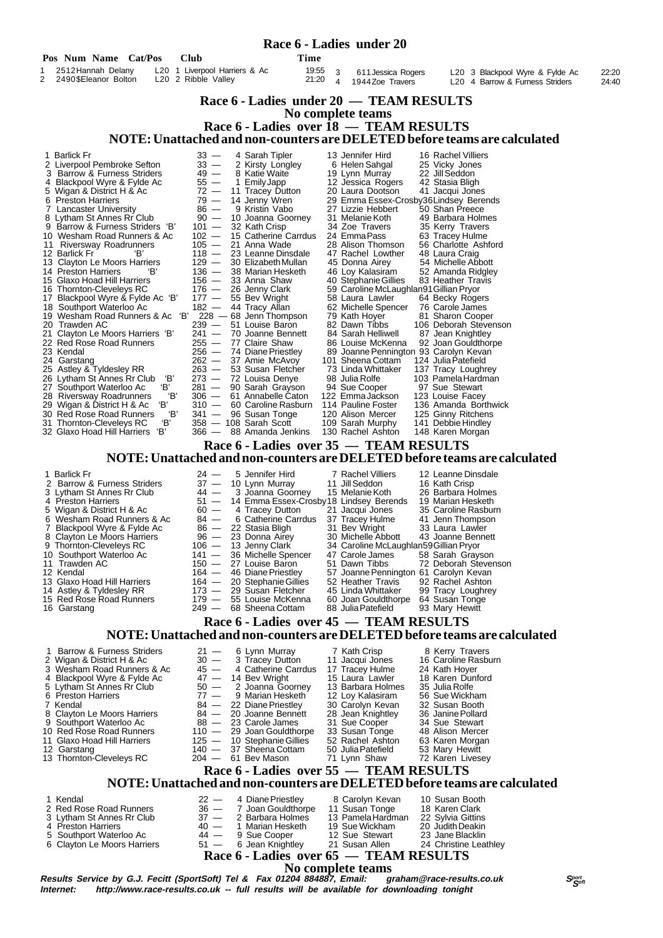#### **Race 6 - Ladies over 18 — TEAM RESULTS NOTE: Unattached and non-counters are DELETED before teams are calculated** 1 Barlick Fr 33 — 4 Sarah Tipler 13 Jennifer Hird 16 Rachel Villiers 2 Liverpool Pembroke Sefton 33 — 2 Kirsty Longley 6 Helen Sahgal 25 Vicky Jones 3 Barrow & Furness Striders 49 — 8 Katie Waite 19 Lynn Murray 22 Jill Seddon 4 Blackpool Wyre & Fylde Ac 55 - 1 Emily Japp 12 Jessica Rogers 42 Stasia Bligh<br>5 Wigan & District H & Ac 72 - 11 Tracey Dutton 20 Laura Dootson 41 Jacqui Jones<br>6 Preston Harriers 79 - 14 Jenny Wren 29 Emma Essex-Crosby36  $5 \text{ Wigan } 8 \text{ District H } 8 \text{ Ac}$ <br>  $6 \text{ Preston Harris}$   $72 - 11 \text{ Tracy Dutton}$   $20 \text{ A} \text{Temp Wren}$   $29 - 14 \text{ Jenny Wren}$   $29$  6 Preston Harriers 79 — 14 Jenny Wren 29 Emma Essex-Crosby36Lindsey Berends 7 Lancaster University 86 — 9 Kristin Vabo 27 Lizzie Hebbert 50 Shan Preece 8 Lytham St Annes Rr Club 90 — 10 Joanna Goorney 31 Melanie Koth 49 Barbara Holmes 9 Barrow & Furness Striders 'B' 101 — 32 Kath Crisp 34 Zoe Travers 35 Kerry Travers 10 Wesham Road Runners & Ac 102  $-$  15 Catherine Carrdus 24 Emma Pass 63 Tracey Hulme<br>
10 Wesham Road Runners & Ac 102  $-$  15 Catherine Carrdus 24 Emma Pass 63 Tracey Hulme<br>
11 Riversway Roadrunners 105  $-$  21 Anna Wade 28 11 Riversway Roadrunners 105 — 21 Anna Wade 28 Alison Thomson 56 Charlotte Ashford 12 Barlick Fr 'B' 118 — 23 Leanne Dinsdale 17 Rachel Lowther 48 Laura Craig<br>12 Barlick Fr 'B' 118 — 23 Leanne Dinsdale 17 Rachel Lowther 48 Laura Craig<br>13 Clayton Le Moors Harriers 129 — 30 Elizabeth Mullan 45 Donna Airey 13 Clayton Le Moors Harriers 129 — 30 Elizabeth Mullan 45 Donna Airey 54 Michelle Abbott<br>14 Preston Harriers 129 - 38 Marian Hesketh 46 Loy Kalasiram 52 Amanda Ridgley 14 Preston Harriers 'B' 136 — 38 Marian Hesketh 46 Loy Kalasiram 52 Amanda Ridgley 15 Glaxo Hoad Hill Harriers 156 — 33 Anna Shaw 40 Stephanie Gillies 83 Heather Travis 16 Thornton-Cleveleys RC 176 — 26 Jenny Clark 59 Caroline McLaughlan91Gillian Pryor<br>17 Blackpool Wyre & Fylde Ac 'B' 177 — 55 Bev Wright 58 Laura Lawler 64 Becky Rogers<br>18 Southport Waterloo Ac 182 — 44 Tracy Allan 62 Mich 17 Blackpool Wyre & Fylde Ac 'B' 177 — 55 Bev Wright 58 Laura Lawler 64 Becky Rogers 18 Southport Waterloo Ac 182 — 44 Tracy Allan 62 Michelle Spencer 76 Carole James 19 Wesham Road Runners & Ac 'B' 228 — 68 Jenn Thompson 79 Kath Hoyer 81 Sharon Cooper<br>20 Trawden AC 239 — 51 Louise Baron 82 Dawn Tibbs 106 Deborah Stevenson 20 Trawden AC 239 — 51 Louise Baron 82 Dawn Tibbs 106 Deborah Stevenson 21 Clayton Le Moors Harriers 'B' 241 — 70 Joanne Bennett 84 Sarah Helliwell 87 Jean Knightley 22 Red Rose Road Runners 255 - 77 Claire Shaw 86 Louise McKenna 92 Joan Gouldthorpe<br>23 Kendal 24 Garstang 266 - 74 Diane Priestley 89 Joanne Pennington 93 Carolyn Kevan<br>24 Garstang 282 - 37 Amie McAvoy 101 Sheena Cottam 12 23 Kendal 256 — 74 Diane Priestley 89 Joanne Pennington 93 Carolyn Kevan 24 Garstang 262 — 37 Amie McAvoy 101 Sheena Cottam 124 Julia Patefield 24 Garstang 262 - 27 Amie McAvoy 200 121 Sheena Cottam 124 Julia Patefield<br>25 Astley & Tyldesley RR 263 - 53 Susan Fletcher 73 Linda Whittaker 137 Tracy Loughrey<br>26 Lytham St Annes Rr Club 18' 273 - 72 Louisa Denye 98 Juli 26 Lytham St Annes Rr Club 'B' 273 - 72 Louisa Denye 98 Julia Rolfe 103 Pamela Hardi<br>27 Southport Waterloo Ac 'B' 281 - 90 Sarah Grayson 94 Sue Cooper 97 Sue Stewart 27 Southport Waterloo Ac 'B' 281 — 90 Sarah Grayson 94 Sue Cooper 97 Sue Stewart<br>28 Riversway Roadrunners 'B' 306 — 61 Annabelle Caton 122 Emma Jackson 123 Louise Facey 28 Riversway Roadrunners 'B' 306 — 61 Annabelle Caton 122 Emma Jackson 123 Louise Facey 29 Wigan & District H & Ac 'B' 310 — 60 Caroline Rasburn 114 Pauline Foster 136 Amanda Borthwick 30 Red Rose Road Runners 'B' 341 — 96 Susan Tonge 120 Alison Mercer 125 Ginny Ritchens 31 Thornton-Cleveleys RC <sup>'B'</sup> 310 - 60 Caroline Rasburn 114 Pauline Foster 136 Amanda Borthwick<br>30 Red Rose Road Runners 'B' 341 - 96 Susan Tonge 120 Alison Mercer 125 Ginny Ritchens<br>31 Thornton-Cleveleys RC 'B' 358 - 108 31 Homen Signals in 1986 and 130 Glaxo Hoad Hill Harriers  **Race 6 - Ladies under 20 Pos Num Name Cat/Pos Club 1 2512 Time**<br>1 2512 Hannah Delany 1.20 1 Liverpool Harriers & Ac 19:5 1 20 1 Liverpool Harriers & Ac 19:55<br>1 20 2 Ribble Valley 21:20 2 2490\$Eleanor Bolton L20 2 Ribble Valley 21:20  **Race 6 - Ladies under 20 — TEAM RESULTS No complete teams Race 6 - Ladies over 35 — TEAM RESULTS NOTE: Unattached and non-counters are DELETED before teams are calculated** 1 Barlick Fr **24 — 5 Jennifer Hird** 7 Rachel Villiers 12 Leanne Dinsdale<br>
2 Barrow & Furness Striders 37 — 10 Lynn Murray 11 Jill Seddon 16 Kath Crisp<br>
3 Lytham St Annes Rr Club 44 — 3 Joanna Goorney 15 Melanie Koth 26 Bar 2 Barrow & Furness Striders 37 - 10 Lynn Murray 11 Jill Seddon 16 Kath Crisp 3 Lytham St Annes Rr Club 44 — 3 Joanna Goorney 15 Melanie Koth 26 Barbara Holmes 4 Preston Harriers 61 — 51 — 14 Emma Essex-Crosby18 Lindsey Berends 19 Marian Hesketh<br>5 Wigan & District H & Ac 60 — 4 Tracey Dutton 21 Jacqui Jones 35 Caroline Rasburn 5 Wigan & District H & Ac 60 - 4 Tracey Dutton 21 Jacqui Jones 35 Caroline Rasburn 6 Wesham Road Runners & Ac 84 - 6 Catherine Carrdus 37 Tracey Hulme 41 Jenn Thompson 6 Wesham Road Runners & Ac 84 — 6 Catherine Carrdus 37 Tracey Hulme 41 Jenn Thompson<br>7 Blackpool Wyre & Fylde Ac 86 — 22 Stasia Bligh 31 Bev Wright 33 Laura Lawler 7 Blackpool Wyre & Fylde Ac  $\begin{array}{r} 86 \leftarrow 22 \text{ Stasia Bligh} \\ 8 \leftarrow 23 \text{ Donna Airey} \\ 30 \text{ Michelle Abbott} \\ 43 \text{ Joanne Bennett} \\ 9 \text{ Thorrton-Clevelevs RC.} \end{array}$  8 Clayton Le Moors Harriers 96 — 23 Donna Airey 30 Michelle Abbott 43 Joanne Bennett 9 Thornton-Cleveleys RC 106 — 13 Jenny Clark 34 Caroline McLaughlan59Gillian Pryor 9 Thornton-Cleveleys RC 106 - 13 Jenny Clark 34 Caroline McLaughlan59 Gillian Pryor<br>10 Southport Waterloo Ac 141 - 36 Michelle Spencer 147 Carole James 58 Sarah Grayson<br>11 Trawden AC 150 - 27 Louise Baron 51 Dawn Tibbs 72 11 Trawden AC 150 — 27 Louise Baron 51 Dawn Tibbs 72 Deborah Stevenson 12 Aendal 164 — 46 Diane Priestley 57 Joanne Pennington 61 Carolyn Kevan<br>13 Glaxo Hoad Hill Harriers 164 — 20 Stephanie Gillies 52 Heather Travis 92 Rachel Ashton 13 Glaxo Hoad Hill Harriers 164 — 20 Stephanie Gillies 52 Heather Travis 92 Rachel Ashton<br>Astley & Tyldesley RR 173 — 29 Susan Fletcher 45 Linda Whittaker 99 Tracy Loughrey<br>Red Rose Road Runners 179 — 55 Louise McKenna 60 3 611Jessica Rogers L20 3 Blackpool Wyre & Fylde Ac 22:20 L20 4 Barrow & Furness Striders

- 14 Astley & Tyldesley RR 173 29 Susan Fletcher 45 Linda Whittaker 99 Tracy Loughrey
- 15 Red Rose Road Runners 179 55 Louise McKenna 60 Joan Gouldthorpe 64 Susan Tonge
- 16 Garstang 249 68 Sheena Cottam 88 Julia Patefield 93 Mary Hewitt

 **Race 6 - Ladies over 45 — TEAM RESULTS NOTE: Unattached and non-counters are DELETED before teams are calculated**

1 Barrow & Furness Striders 21 — 6 Lynn Murray 7 Kath Crisp 8 Kerry Travers<br>2 Wigan & District H & Ac 30 — 3 Tracey Dutton 11 Jacqui Jones 16 Caroline Rasburn 2 Wigan & District H & Ac 30 — 3 Tracey Dutton 11 Jacqui Jones 16 Caroline Rashurn 11 Jacqui Jones 16 Caroline Rashurn 11 Jacqui Jones 16 Caroline Rashur 13 Tracey Dutton 11 Jacqui Jones 16 Caroline Rashurn 13 Wesham Road 3 Wesham Road Runners & Ac 45 - 4 Catherine Carrdus 17 Tracey Hulme 24 Kath Hoyer<br>4 Blackpool Wyre & Fylde Ac 47 - 14 Bev Wright 15 Laura Lawler 18 Karen Dunford<br>5 Lytham St Annes Rr Club 50 - 2 Joanna Goorney 13 Barbara H 4 Blackpool Wyre & Fylde Ac  $\begin{array}{r} 47 \ - 14 \ \text{Bev}$  Wright  $\begin{array}{r} 15 \ \text{Laura} \ \text{Lawler} \end{array}$  18 Karen Dunford 15 Lytham St Annes Rr Club  $\begin{array}{r} 50 \ - 2 \ \text{Joanna} \ \text{Goorney} \end{array}$  13 Barbara Holmes 35 Julia Rolfe 5 Lytham St Annes Rr Club 50 — 2 Joanna Goorney 13 Barbara Holmes 35 Julia Rolfe 6 Preston Harriers 77 — 9 Marian Hesketh 12 Loy Kalasiram 56 Sue Wickham 7 Kendal 84 — 22 Diane Priestley 30 Carolyn Kevan 32 Susan Booth 8 Clayton Le Moors Harriers  $84 - 20$  Joanne Bennett 28 Jean Knightley 36 Janine Pollard<br>9 Southport Waterloo Ac  $88 - 23$  Carole James 31 Sue Cooper 34 Sue Stewart 9 Southport Waterloo Ac 88 - 23 Carole James 31 Sue Cooper 34 Sue Stewart<br>10 Red Rose Road Runners 110 - 29 Joan Gouldthorpe 33 Susan Tonge 48 Alison Mercer<br>11 Glaxo Hoad Hill Harriers 125 - 10 Stephanie Gillies 52 Rachel 10 Red Rose Road Runners 110 — 29 Joan Gouldthorpe 33 Susan Tonge 48 Alison Mercer Glaxo Hoad Hill Harriers 125 — 10 Stephanie Gillies 52 Rachel Ashton 63 Karen Morgan Garstang 140 — 37 Sheena Cottam 50 Julia Patefield 53 Mary Hewitt 12 Garstang 140 — 37 Sheena Cottam 50 Julia Patefield 53 Mary Hewitt 13 Thornton-Cleveleys RC 204 — 61 Bev Mason 71 Lynn Shaw 72 Karen Livesey  **Race 6 - Ladies over 55 — TEAM RESULTS NOTE: Unattached and non-counters are DELETED before teams are calculated** 1 Kendal 18 Medal 22 — 4 Diane Priestley 8 Carolyn Kevan 10 Susan Booth<br>2 Red Rose Road Runners 36 — 7 Joan Gouldthorpe 11 Susan Tonge 18 Karen Clark 2 Red Rose Road Runners 36 - 7 Joan Gouldthorpe 11 Susan Tonge 18 Karen Clark<br>3 Lytham St Annes Rr Club 37 - 2 Barbara Holmes 13 Pamela Hardman 22 Sylvia Gittins<br>40 - 1 Marian Hesketh 19 Sue Wickham 20 Judith Deakin 3 Lytham St Annes Rr Club 37 — 2 Barbara Holmes 13 Pamela Hardman 22 Sylvia Gittins 4 Preston Harriers 40 — 1 Marian Hesketh 19 Sue Wickham 20 Judith Deakin 5 Southport Waterloo Ac  $\begin{array}{ccc} 44 - 9 & \text{Sue Cooper} & 12 & \text{Sue Stewart} & 23 & \text{Jane Blacklin} \\ 6 & \text{Calayton Le Moors Harris} & 51 - 6 & \text{Jean Knightley} & 21 & \text{Susan Allen} & 24 & \text{Christine Leathley} \end{array}$ Clayton Le Moors Harriers

> **Race 6 - Ladies over 65 — TEAM RESULTS No complete teams**

**Results Service by G.J. Fecitt (SportSoft) Tel & Fax 01204 884887, Email: graham@race-results.co.uk Segetical Segetical Segetical Segetical Segetical Segetical Segetical Segetical Segetical Segetical Results.co.uk of the** http://www.race-results.co.uk -- full results will be available for downloading tonight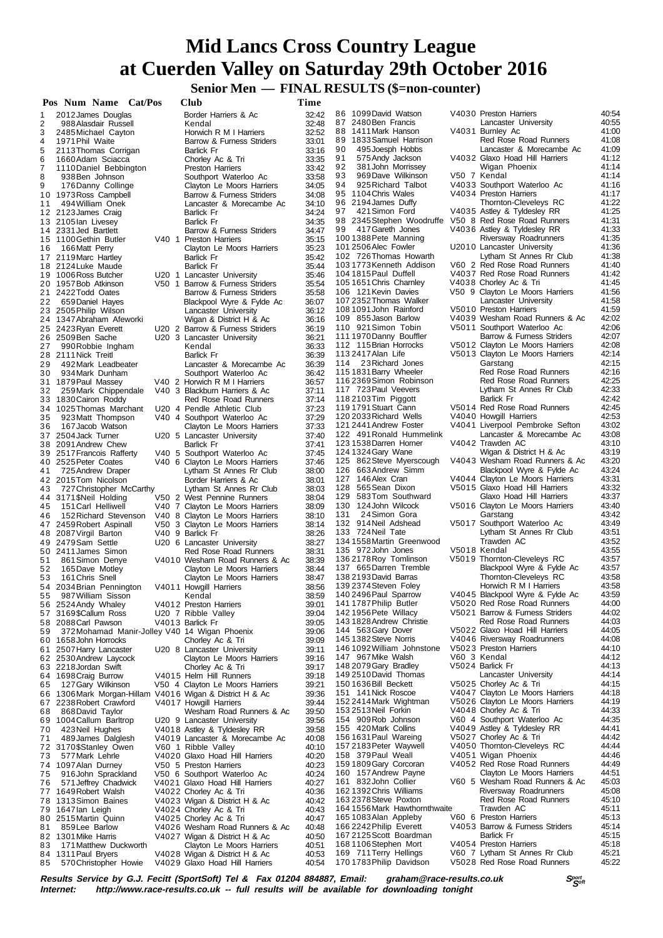**Senior Men — FINAL RESULTS (\$=non-counter)** 

|          | Pos Num Name Cat/Pos                                     | Club                                                               | Time           |                                                    |                                                                    |                |
|----------|----------------------------------------------------------|--------------------------------------------------------------------|----------------|----------------------------------------------------|--------------------------------------------------------------------|----------------|
| 1        | 2012 James Douglas                                       | Border Harriers & Ac                                               | 32:42          | 86 1099 David Watson                               | V4030 Preston Harriers                                             | 40:54          |
| 2        | 988 Alasdair Russell                                     | Kendal                                                             | 32:48          | 87 2480 Ben Francis                                | Lancaster University                                               | 40:55          |
| 3        | 2485 Michael Cayton                                      | Horwich R M I Harriers                                             | 32:52          | 88 1411 Mark Hanson<br>89 1833 Samuel Harrison     | V4031 Burnley Ac<br>Red Rose Road Runners                          | 41:00<br>41:08 |
| 4<br>5   | 1971 Phil Waite<br>2113 Thomas Corrigan                  | Barrow & Furness Striders<br><b>Barlick Fr</b>                     | 33:01<br>33:16 | 90<br>495 Joesph Hobbs                             | Lancaster & Morecambe Ac                                           | 41:09          |
| 6        | 1660Adam Sciacca                                         | Chorley Ac & Tri                                                   | 33:35          | 91<br>575 Andy Jackson                             | V4032 Glaxo Hoad Hill Harriers                                     | 41:12          |
| 7        | 1110 Daniel Bebbington                                   | <b>Preston Harriers</b>                                            | 33:42          | 92<br>381 John Morrissey                           | Wigan Phoenix                                                      | 41:14          |
| 8        | 938 Ben Johnson                                          | Southport Waterloo Ac                                              | 33:58          | 93<br>969 Dave Wilkinson                           | V50 7 Kendal                                                       | 41:14          |
| 9        | 176 Danny Collinge                                       | Clayton Le Moors Harriers                                          | 34:05          | 94<br>925 Richard Talbot<br>95 1104 Chris Wales    | V4033 Southport Waterloo Ac<br>V4034 Preston Harriers              | 41:16<br>41:17 |
| 11       | 10 1973 Ross Campbell<br>494 William Onek                | Barrow & Furness Striders<br>Lancaster & Morecambe Ac              | 34:08<br>34:10 | 96 2194 James Duffy                                | Thornton-Cleveleys RC                                              | 41:22          |
|          | 12 2123 James Craig                                      | Barlick Fr                                                         | 34:24          | 421 Simon Ford<br>97                               | V4035 Astley & Tyldesley RR                                        | 41:25          |
|          | 13 2105 lan Livesey                                      | <b>Barlick Fr</b>                                                  | 34:35          | 98 2345 Stephen Woodruffe                          | V50 8 Red Rose Road Runners                                        | 41:31          |
|          | 14 2331 Jed Bartlett                                     | Barrow & Furness Striders                                          | 34:47          | 99<br>417 Gareth Jones                             | V4036 Astley & Tyldesley RR                                        | 41:33          |
|          | 15 1100 Gethin Butler                                    | V40 1 Preston Harriers                                             | 35:15          | 100 1388 Pete Manning<br>101 2506 Alec Fowler      | Riversway Roadrunners<br>U2010 Lancaster University                | 41:35<br>41:36 |
| 16       | 166 Matt Perry<br>17 2119 Marc Hartley                   | Clayton Le Moors Harriers<br><b>Barlick Fr</b>                     | 35:23<br>35:42 | 102 726 Thomas Howarth                             | Lytham St Annes Rr Club                                            | 41:38          |
|          | 18 2124 Luke Maude                                       | <b>Barlick Fr</b>                                                  | 35:44          | 1031773Kenneth Addison                             | V60 2 Red Rose Road Runners                                        | 41:40          |
|          | 19 1006 Ross Butcher                                     | U20 1 Lancaster University                                         | 35:46          | 104 1815 Paul Duffell                              | V4037 Red Rose Road Runners                                        | 41:42          |
|          | 20 1957 Bob Atkinson                                     | V50 1 Barrow & Furness Striders                                    | 35:54          | 105 1651 Chris Chamley                             | V4038 Chorley Ac & Tri                                             | 41:45          |
| 22       | 21 2422Todd Oates                                        | Barrow & Furness Striders                                          | 35:58<br>36:07 | 106 121 Kevin Davies<br>107 2352 Thomas Walker     | V50 9 Clayton Le Moors Harriers<br>Lancaster University            | 41:56<br>41:58 |
|          | 659 Daniel Hayes<br>23 2505 Philip Wilson                | Blackpool Wyre & Fylde Ac<br>Lancaster University                  | 36:12          | 108 1091 John Rainford                             | V5010 Preston Harriers                                             | 41:59          |
|          | 24 1347 Abraham Afeworki                                 | Wigan & District H & Ac                                            | 36:16          | 109 855 Jason Barlow                               | V4039 Wesham Road Runners & Ac                                     | 42:02          |
|          | 25 2423 Ryan Everett                                     | U20 2 Barrow & Furness Striders                                    | 36:19          | 110 921 Simon Tobin                                | V5011 Southport Waterloo Ac                                        | 42:06          |
|          | 26 2509 Ben Sache                                        | U20 3 Lancaster University                                         | 36:21          | 111 1970 Danny Bouffler                            | Barrow & Furness Striders                                          | 42:07          |
| 27       | 990 Robbie Ingham                                        | Kendal<br><b>Barlick Fr</b>                                        | 36:33<br>36:39 | 112 115 Brian Horrocks<br>113 2417 Alan Life       | V5012 Clayton Le Moors Harriers<br>V5013 Clayton Le Moors Harriers | 42:08<br>42:14 |
| 29       | 28 2111 Nick Treitl<br>492 Mark Leadbeater               | Lancaster & Morecambe Ac                                           | 36:39          | 114 23 Richard Jones                               | Garstang                                                           | 42:15          |
| 30       | 934 Mark Dunham                                          | Southport Waterloo Ac                                              | 36:42          | 115 1831 Barry Wheeler                             | Red Rose Road Runners                                              | 42:16          |
|          | 31 1879 Paul Massey                                      | V40 2 Horwich R M I Harriers                                       | 36:57          | 116 2369 Simon Robinson                            | Red Rose Road Runners                                              | 42:25          |
| 32       | 259 Mark Chippendale                                     | V40 3 Blackburn Harriers & Ac                                      | 37:11          | 117 723 Paul Veevers                               | Lytham St Annes Rr Club                                            | 42:33          |
|          | 33 1830 Cairon Roddy                                     | Red Rose Road Runners                                              | 37:14          | 118 2103 Tim Piggott<br>119 1791 Stuart Cann       | <b>Barlick Fr</b><br>V5014 Red Rose Road Runners                   | 42:42<br>42:45 |
| 35       | 34 1025 Thomas Marchant<br>923 Matt Thompson             | U20 4 Pendle Athletic Club<br>V40 4 Southport Waterloo Ac          | 37:23<br>37:29 | 120 2033 Richard Wells                             | V4040 Howgill Harriers                                             | 42:53          |
| 36       | 167 Jacob Watson                                         | Clayton Le Moors Harriers                                          | 37:33          | 121 2441 Andrew Foster                             | V4041 Liverpool Pembroke Sefton                                    | 43:02          |
|          | 37 2504 Jack Turner                                      | U20 5 Lancaster University                                         | 37:40          | 122 491 Ronald Hummelink                           | Lancaster & Morecambe Ac                                           | 43:08          |
|          | 38 2091 Andrew Chew                                      | <b>Barlick Fr</b>                                                  | 37:41          | 123 1538 Darren Horner                             | V4042 Trawden AC                                                   | 43:10          |
|          | 39 2517 Francois Rafferty                                | V40 5 Southport Waterloo Ac                                        | 37:45          | 124 1324 Gary Wane<br>125 862 Steve Myerscough     | Wigan & District H & Ac<br>V4043 Wesham Road Runners & Ac          | 43:19<br>43:20 |
| 41       | 40 2525 Peter Coates<br>725 Andrew Draper                | V40 6 Clayton Le Moors Harriers<br>Lytham St Annes Rr Club         | 37:46<br>38:00 | 126 663 Andrew Simm                                | Blackpool Wyre & Fylde Ac                                          | 43:24          |
|          | 42 2015Tom Nicolson                                      | Border Harriers & Ac                                               | 38:01          | 127 146 Alex Cran                                  | V4044 Clayton Le Moors Harriers                                    | 43:31          |
| 43       | 727 Christopher McCarthy                                 | Lytham St Annes Rr Club                                            | 38:03          | 128 565 Sean Dixon                                 | V5015 Glaxo Hoad Hill Harriers                                     | 43:32          |
|          | 44 3171 \$Neil Holding                                   | V50 2 West Pennine Runners                                         | 38:04          | 129 583Tom Southward                               | Glaxo Hoad Hill Harriers                                           | 43:37          |
| 45       | 151 Carl Helliwell                                       | V40 7 Clayton Le Moors Harriers                                    | 38:09          | 130 124 John Wilcock<br>24 Simon Gora<br>131       | V5016 Clayton Le Moors Harriers<br>Garstang                        | 43:40<br>43:42 |
| 46       | 152 Richard Stevenson<br>47 2459 Robert Aspinall         | V40 8 Clayton Le Moors Harriers<br>V50 3 Clayton Le Moors Harriers | 38:10<br>38:14 | 132 914 Neil Adshead                               | V5017 Southport Waterloo Ac                                        | 43:49          |
|          | 48 2087 Virgil Barton                                    | V40 9 Barlick Fr                                                   | 38:26          | 133 724 Neil Tate                                  | Lytham St Annes Rr Club                                            | 43:51          |
|          | 49 2479 Sam Settle                                       | U20 6 Lancaster University                                         | 38:27          | 134 1558 Martin Greenwood                          | Trawden AC                                                         | 43:52          |
|          | 50 2411 James Simon                                      | <b>Red Rose Road Runners</b>                                       | 38:31          | 135 972 John Jones                                 | V5018 Kendal                                                       | 43:55          |
| 51       | 861 Simon Denye                                          | V4010 Wesham Road Runners & Ac<br>Clayton Le Moors Harriers        | 38:39<br>38:44 | 136 2178 Roy Tomlinson<br>137 665 Darren Tremble   | V5019 Thornton-Cleveleys RC<br>Blackpool Wyre & Fylde Ac           | 43:57<br>43:57 |
| 52<br>53 | 165 Dave Motley<br>161 Chris Snell                       | Clayton Le Moors Harriers                                          | 38:47          | 138 2193 David Barras                              | Thornton-Cleveleys RC                                              | 43:58          |
|          | 54 2034 Brian Pennington                                 | V4011 Howgill Harriers                                             | 38:56          | 139 2374 Steven Foley                              | Horwich R M I Harriers                                             | 43:58          |
| 55       | 987 William Sisson                                       | Kendal                                                             | 38:59          | 140 2496 Paul Sparrow                              | V4045 Blackpool Wyre & Fylde Ac                                    | 43:59          |
| 56       | 2524 Andy Whaley                                         | V4012 Preston Harriers                                             | 39:01          | 141 1787 Philip Butler                             | V5020 Red Rose Road Runners                                        | 44:00          |
|          | 57 3169\$Callum Ross<br>58 2088 Carl Pawson              | U20 7 Ribble Valley<br>V4013 Barlick Fr                            | 39:04<br>39:05 | 142 1956 Pete Willacy<br>143 1828 Andrew Christie  | V5021 Barrow & Furness Striders<br>Red Rose Road Runners           | 44:02<br>44:03 |
| 59       | 372Mohamad Manir-Jolley V40 14 Wigan Phoenix             |                                                                    | 39:06          | 144 563 Gary Dover                                 | V5022 Glaxo Hoad Hill Harriers                                     | 44:05          |
|          | 60 1658 John Horrocks                                    | Chorley Ac & Tri                                                   | 39.09          | 145 1382 Steve Norris                              | V4046 Riversway Roadrunners                                        | 44:08          |
| 61       | 2507 Harry Lancaster                                     | U20 8 Lancaster University                                         | 39:11          | 146 1092 William Johnstone                         | V5023 Preston Harriers                                             | 44:10          |
|          | 62 2530 Andrew Laycock                                   | Clayton Le Moors Harriers                                          | 39:16          | 147 967 Mike Walsh                                 | V60 3 Kendal                                                       | 44:12          |
|          | 63 2218 Jordan Swift<br>64 1698 Craig Burrow             | Chorley Ac & Tri<br>V4015 Helm Hill Runners                        | 39:17<br>39:18 | 148 2079 Gary Bradley<br>149 2510 David Thomas     | V5024 Barlick Fr<br>Lancaster University                           | 44:13<br>44:14 |
| 65       | 127 Gary Wilkinson                                       | V50 4 Clayton Le Moors Harriers                                    | 39:21          | 150 1636 Bill Beckett                              | V5025 Chorley Ac & Tri                                             | 44:15          |
|          | 66 1306 Mark Morgan-Hillam V4016 Wigan & District H & Ac |                                                                    | 39:36          | 151 141 Nick Roscoe                                | V4047 Clayton Le Moors Harriers                                    | 44:18          |
| 67       | 2238 Robert Crawford                                     | V4017 Howgill Harriers                                             | 39:44          | 152 2414 Mark Wightman                             | V5026 Clayton Le Moors Harriers                                    | 44:19          |
| 68       | 868 David Taylor                                         | Wesham Road Runners & Ac                                           | 39:50          | 153 2513 Neil Forkin                               | V4048 Chorley Ac & Tri                                             | 44:33          |
| 69       | 1004 Callum Barltrop                                     | U20 9 Lancaster University                                         | 39:56          | 154 909 Rob Johnson<br>155 420 Mark Collins        | V60 4 Southport Waterloo Ac<br>V4049 Astley & Tyldesley RR         | 44:35<br>44:41 |
| 70<br>71 | 423 Neil Hughes<br>489 James Dalglesh                    | V4018 Astley & Tyldesley RR<br>V4019 Lancaster & Morecambe Ac      | 39:58<br>40:08 | 156 1631 Paul Wareing                              | V5027 Chorley Ac & Tri                                             | 44:42          |
| 72       | 3170\$Stanley Owen                                       | V60 1 Ribble Valley                                                | 40:10          | 157 2183 Peter Waywell                             | V4050 Thornton-Cleveleys RC                                        | 44:44          |
| 73       | 577 Mark Lehrle                                          | V4020 Glaxo Hoad Hill Harriers                                     | 40:20          | 158 379 Paul Weall                                 | V4051 Wigan Phoenix                                                | 44:46          |
| 74       | 1097 Alan Durney                                         | V50 5 Preston Harriers                                             | 40:23          | 159 1809 Gary Corcoran                             | V4052 Red Rose Road Runners                                        | 44:49          |
| 75       | 916John Sprackland                                       | V50 6 Southport Waterloo Ac                                        | 40:24          | 160 157 Andrew Payne<br>161 832 John Collier       | Clayton Le Moors Harriers<br>V60 5 Wesham Road Runners & Ac        | 44:51<br>45:03 |
| 76<br>77 | 571 Jeffrey Chadwick<br>1649 Robert Walsh                | V4021 Glaxo Hoad Hill Harriers<br>V4022 Chorley Ac & Tri           | 40:27<br>40:36 | 1621392 Chris Williams                             | Riversway Roadrunners                                              | 45:08          |
| 78       | 1313 Simon Baines                                        | V4023 Wigan & District H & Ac                                      | 40:42          | 163 2378 Steve Poxton                              | Red Rose Road Runners                                              | 45:10          |
| 79       | 1647 lan Leigh                                           | V4024 Chorley Ac & Tri                                             | 40:43          | 164 1556 Mark Hawthornthwaite                      | Trawden AC                                                         | 45:11          |
| 80       | 2515 Martin Quinn                                        | V4025 Chorley Ac & Tri                                             | 40:47          | 1651083Alan Appleby                                | V60 6 Preston Harriers                                             | 45:13          |
| 81       | 859 Lee Barlow                                           | V4026 Wesham Road Runners & Ac                                     | 40:48          | 166 2242 Philip Everett<br>167 2125 Scott Boardman | V4053 Barrow & Furness Striders<br>Barlick Fr                      | 45:14<br>45:15 |
| 83       | 82 1301 Mike Harris<br>171 Matthew Duckworth             | V4027 Wigan & District H & Ac<br>Clayton Le Moors Harriers         | 40:50<br>40:51 | 168 1106 Stephen Mort                              | V4054 Preston Harriers                                             | 45:18          |
|          | 84 1311 Paul Bryers                                      | V4028 Wigan & District H & Ac                                      | 40:53          | 169 711 Terry Hellings                             | V60 7 Lytham St Annes Rr Club                                      | 45:21          |
| 85       | 570 Christopher Howie                                    | V4029 Glaxo Hoad Hill Harriers                                     | 40:54          | 170 1783 Philip Davidson                           | V5028 Red Rose Road Runners                                        | 45:22          |

**Results Service by G.J. Fecitt (SportSoft) Tel & Fax 01204 884887, Email: graham@race-results.co.uk S<sup>port</sup> S<sup>ergt</sup><br>Internet: http://www.race-results.co.uk -- full results will be available for downloading tonight** http://www.race-results.co.uk -- full results will be available for downloading tonight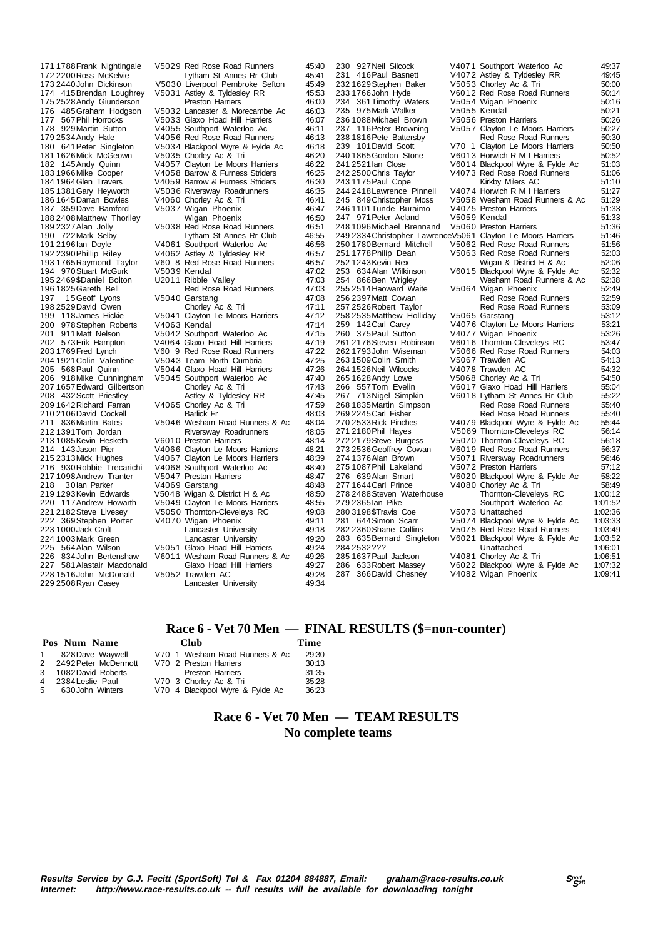175 2528 Andy Giunderson 186 1645Darran Bowles V4060 Chorley Ac & Tri 187 359Dave Bamford V5037 Wigan Phoenix 208 432 Scott Priestley 210 2106 David Cockell<br>211 836 Martin Bates 2003 1085 Kevin Hesketh V6010 Preston Harriers<br>143 Jason Pier V4066 Clayton Le Moor 222 369Stephen Porter 229 2508Ryan Casey Lancaster University 49:34

171 1788Frank Nightingale V5029 Red Rose Road Runners 45:40 172 2200Ross McKelvie Lytham St Annes Rr Club 45:41 173 2440John Dickinson V5030 Liverpool Pembroke Sefton 45:49 V5031 Astley & Tyldesley RR 45:53<br>Preston Harriers 46:00 176 485Graham Hodgson V5032 Lancaster & Morecambe Ac 46:03 177 567Phil Horrocks V5033 Glaxo Hoad Hill Harriers 46:07 178 929Martin Sutton V4055 Southport Waterloo Ac 46:11 179 2534Andy Hale V4056 Red Rose Road Runners 46:13 180 641Peter Singleton V5034 Blackpool Wyre & Fylde Ac 46:18 181 1626Mick McGeown V5035 Chorley Ac & Tri 46:20 182 145Andy Quinn V4057 Clayton Le Moors Harriers<br>1831966Mike Cooper V4058 Barrow & Furness Striders 183 1966Mike Cooper V4058 Barrow & Furness Striders 46:25 184 1964 Glen Travers 1940 59 Barrow & Furness Striders 46:30<br>185 1381 Gary Heyworth 1950 36 Riversway Roadrunners 46:35 185 1381Gary Heyworth V5036 Riversway Roadrunners 46:35 187 359Dave Bamford V5037 Wigan Phoenix 46:47 188 2408 Matthew Thorlley **Wigan Phoenix 188 2408 Matthew Thorley Wigan Phoenix 46:50**<br>189 2327 Alan Jolly **189 WIGAN WASS** 189 2327 Alan Jolly V5038 Red Rose Road Runners<br>190 722 Mark Selby Lytham St Annes Rr Club 190 722Mark Selby Lytham St Annes Rr Club 46:55 191 2196 Ian Doyle V4061 Southport Waterloo Ac 46:56<br>
192 2390 Phillip Riley V4062 Astley & Tyldesley RR 46:57 192 2390 Phillip Riley values of the Values of Astley & Tyldesley RR 46:57<br>192 2390 Phillip Riley values 2 Astley & Tyldesley RR 46:57 193 1760 V60 8 Red Rose Road Runners 46:57<br>17:02 17:02 17:02 194 970Stuart McGurk V5039 Kendal 47:02 U2011 Ribble Valley 196 1825 Gareth Bell **Red Rose Road Runners** 47:03<br>197 15 Geoff Lyons V5040 Garstang 47:08 197 15Geoff Lyons V5040 Garstang 47:08 198 2529David Owen Chorley Ac & Tri 47:11 199 118James Hickie V5041 Clayton Le Moors Harriers 47:12 200 978Stephen Roberts V4063 Kendal 47:14<br>201 911 Matt Nelson V5042 Southport Waterloo Ac 47:15 V5042 Southport Waterloo Ac 202 573Erik Hampton V4064 Glaxo Hoad Hill Harriers 47:19 203 1769Fred Lynch V60 9 Red Rose Road Runners 47:22 204 1921 Colin Valentine V5043 Team North Cumbria 47:25<br>205 1921 Colin Valentine V5043 Team North Cumbria 47:25<br>205 1988 Paul Quinn V5044 Glaxo Hoad Hill Harriers 47:26 205 568Paul Quinn V5044 Glaxo Hoad Hill Harriers 47:26 V5045 Southport Waterloo Ac 47:40<br>Chorley Ac & Tri 47:43 207 1657Edward Gilbertson Chorley Ac & Tri 47:43 209 1642Richard Farran V4065 Chorley Ac & Tri 47:59 211 836Martin Bates V5046 Wesham Road Runners & Ac 48:04 212 1391 Tom Jordan Riversway Roadrunners 48:05<br>213 1085 Kevin Hesketh V6010 Preston Harriers 48:14 214 143Jason Pier V4066 Clayton Le Moors Harriers 48:21 215 2313Mick Hughes V4067 Clayton Le Moors Harriers 48:39 V4068 Southport Waterloo Ac 217 1098Andrew Tranter V5047 Preston Harriers 48:47 218 30Ian Parker - V4069 Garstang 18.48<br>219 1293 Kevin Edwards V5048 Wigan & District H & Ac 48:50 219 1293 Kevin Edwards V5048 Wigan & District H & Ac 48:50<br>220 117 Andrew Howarth V5049 Clayton Le Moors Harriers 48:55 220 117Andrew Howarth V5049 Clayton Le Moors Harriers 48:55<br>221 2182 Steve Livesev V5050 Thomton-Cleveleys RC 49:08 V5050 Thornton-Cleveleys RC 49:08<br>V4070 Wigan Phoenix 49:11 223 1000Jack Croft Lancaster University 49:18 224 1003Mark Green Lancaster University 49:20 225 564Alan Wilson V5051 Glaxo Hoad Hill Harriers 49:24 Wesham Road Runners & Ac 49:26<br>Glaxo Hoad Hill Harriers 49:27 227 581 Alastair Macdonald Glaxo Hoad Hill Harriers 49:27<br>228 1516 John McDonald V5052 Trawden AC 49:28 V5052 Trawden AC

V70 4 Blackpool Wyre & Fylde Ac

275 1087 Phil Lakeland V5072 Preston Harriers<br>276 639 Alan Smart V6020 Blackpool Wyre<br>277 1644 Carl Prince V4080 Chorley Ac & Tr 287 366 David Chesney

230 927Neil Silcock V4071 Southport Waterloo Ac 49:37 V4072 Astley & Tyldesley RR 49:45<br>V5053 Chorley Ac & Tri 50:00 232 1629Stephen Baker V5053 Chorley Ac & Tri 50:00 233 1766John Hyde V6012 Red Rose Road Runners 50:14 234 361Timothy Waters V5054 Wigan Phoenix 50:16 234 361 Timothy Waters v5054 Wigan Phoenix 235 975 Mark Walker v5055 Kendal 50:21<br>235 975 Mark Walker v5055 Kendal 50:21<br>236 1088 Michael Brown v5056 Preston Harriers 50:26 236 1088 Nichael Brown V5056 Preston Harriers 50:26<br>237 116 Peter Browning V5057 Clayton Le Moors Harriers 50:27 237 116 Peter Browning V5057 Clayton Le Moors Harriers 50:27<br>238 1816 Peter Battersby Red Rose Road Runners 50:30 238 1816 Pete Battersby Red Rose Road Runners 50:30<br>239 101 David Scott 770 1 Clayton Le Moors Harriers 50:50 239 101 David Scott V70 1 Clayton Le Moors Harriers 50:50<br>240 1865 Gordon Stone V6013 Horwich R M I Harriers 50:52 240 1865 Gordon Stone V6013 Horwich R M I Harriers 50:52<br>241 2521 Jan. Close V6014 Blackpool Wyre & Evide Ac 51:03 241 2521 Ian Close V6014 Blackpool Wyre & Fylde Ac<br>242 2500 Chris Taylor V4073 Red Rose Road Runners V4073 Red Rose Road Runners 51:06<br>Kirkby Milers AC 51:10 243 1175 Paul Cope Kirkby Milers AC 51:10<br>244 2418 Lawrence Pinnell V4074 Horwich R M I Harriers 51:27 244 2418Lawrence Pinnell V4074 Horwich R M I Harriers 51:27 V5058 Wesham Road Runners & Ac 51:29<br>V4075 Preston Harriers 51:33 246 1101Tunde Buraimo V4075 Preston Harriers 51:33 247 971 Peter Acland V5059 Kendal 31:33<br>248 1096 Michael Brennand V5060 Preston Harriers 51:36 248 1096Michael Brennand V5060 Preston Harriers 51:36 249 2334Christopher LawrenceV5061 Clayton Le Moors Harriers 51:46 250 1780Bernard Mitchell V5062 Red Rose Road Runners 51:56 251 1778Philip Dean V5063 Red Rose Road Runners 52:03 252 1243 Kevin Rex Wigan & District H & Ac 52:06<br>253 1243 Kevin Rex Wigan & District H & Ac 52:06<br>253 1634 Alan Wilkinson V6015 Blackpool Wyre & Fylde Ac 52:32 253 634Alan Wilkinson V6015 Blackpool Wyre & Fylde Ac 52:32 254 866Ben Wrigley Wesham Road Runners & Ac 52:38 255 2514Haoward Waite V5064 Wigan Phoenix 52:49 256 2397 Matt Cowan Red Rose Road Runners 52:59<br>2552 256 2397 Matt Cowan Red Rose Road Runners 53:09 25:09 Red Rose Road Runners 53:09<br>25:12 V5065 Garstang 258 2535Matthew Holliday V5065 Garstang 53:12 259 142Carl Carey V4076 Clayton Le Moors Harriers 53:21 260 375Paul Sutton V4077 Wigan Phoenix 53:26 261 2176Steven Robinson V6016 Thornton-Cleveleys RC 53:47 262 1793John Wiseman V5066 Red Rose Road Runners 54:03 263 1509 Colin Smith V5067 Trawden AC 54:13<br>264 1526 Neil Wilcocks V4078 Trawden AC 54:32 264 1526 Neil Wilcocks - 120078 Trawden AC 54:32<br>265 1628 Andy Lowe - 12068 Chorley Ac & Tri 54:50 265 1628Andy Lowe V5068 Chorley Ac & Tri 54:50 266 557Tom Evelin V6017 Glaxo Hoad Hill Harriers 55:04 267 713Nigel Simpkin V6018 Lytham St Annes Rr Club 55:22 268 1835Martin Simpson Red Rose Road Runners 55:40 269 2245 Carl Fisher **Red Rose Road Runners** 55:40<br>270 2533 Rick Pinches V4079 Blackpool Wyre & Fylde Ac 55:44 270 2533Rick Pinches V4079 Blackpool Wyre & Fylde Ac 55:44 271 2180 Phil Hayes V5069 Thornton-Cleveleys RC 56:14<br>272 2179 Steve Burgess V5070 Thornton-Cleveleys RC 56:18 272 2179Steve Burgess V5070 Thornton-Cleveleys RC 56:18 273 2536Geoffrey Cowan V6019 Red Rose Road Runners 56:37 274 1376Alan Brown V5071 Riversway Roadrunners 56:46 veo 20 Blackpool Wyre & Fylde Ac 58:22<br>V4080 Chorley Ac & Tri 58:49 277 1644080 Chorley Ac & Tri 58:49<br>27.0012 Thornton-Cleveleys RC 1:00:12 278 2488Steven Waterhouse Thornton-Cleveleys RC 1:00:12 27:101 Southport Waterloo Ac 1:01:52<br>236:201 V5073 Unattached 280 3198\$Travis Coe V5073 Unattached 1:02:36 V5074 Blackpool Wyre & Fylde Ac 282 2360Shane Collins V5075 Red Rose Road Runners 1:03:49 2836021 Blackpool Wyre & Fylde Ac 1:03:52<br>1:06:01 Unattached 284 2532??? Unattached 1:06:01<br>285 1637 Paul Jackson V4081 Chorley Ac & Tri 1:06:51 285 1637Paul Jackson V4081 Chorley Ac & Tri 1:06:51 V6022 Blackpool Wyre & Fylde Ac 1:07:32<br>V4082 Wigan Phoenix 1:09:41

### **Race 6 - Vet 70 Men — FINAL RESULTS (\$=non-counter)**

#### **Pos Num Name Club Time** 1 828Dave Waywell V70 1 Wesham Road Runners & Ac 29:30 V70 2 Preston Harriers<br>Preston Harriers 3 1082David Roberts Preston Harriers 31:35

4 2384Leslie Paul V70 3 Chorley Ac & Tri 35:28

## **Race 6 - Vet 70 Men — TEAM RESULTS No complete teams**